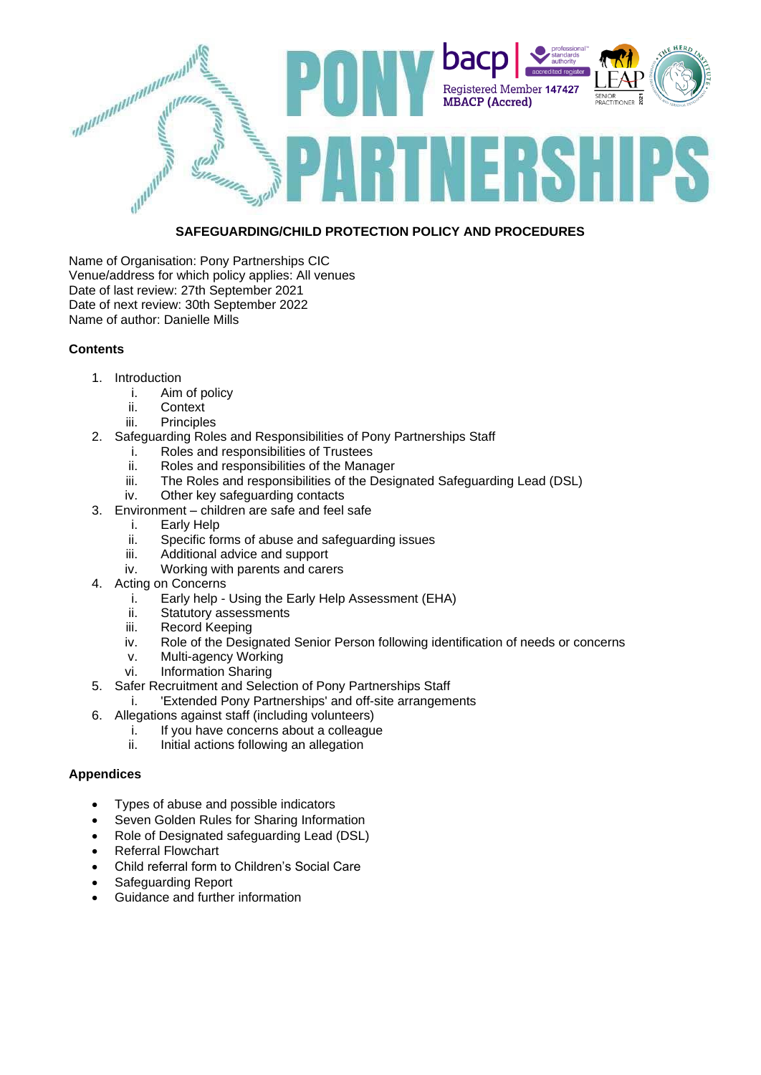

## **SAFEGUARDING/CHILD PROTECTION POLICY AND PROCEDURES**

Name of Organisation: Pony Partnerships CIC Venue/address for which policy applies: All venues Date of last review: 27th September 2021 Date of next review: 30th September 2022 Name of author: Danielle Mills

## **Contents**

- 1. Introduction
	- i. Aim of policy<br>ii. Context
	- Context
	- iii. Principles
- 2. Safeguarding Roles and Responsibilities of Pony Partnerships Staff
	- i. Roles and responsibilities of Trustees
	- ii. Roles and responsibilities of the Manager
	- iii. The Roles and responsibilities of the Designated Safeguarding Lead (DSL)
	- iv. Other key safeguarding contacts
- 3. Environment children are safe and feel safe
	- i. Early Help
	- ii. Specific forms of abuse and safeguarding issues
	- iii. Additional advice and support
	- iv. Working with parents and carers
- 4. Acting on Concerns
	- i. Early help Using the Early Help Assessment (EHA)
	- ii. Statutory assessments
	- iii. Record Keeping
	- iv. Role of the Designated Senior Person following identification of needs or concerns
	- v. Multi-agency Working
	- vi. Information Sharing
- 5. Safer Recruitment and Selection of Pony Partnerships Staff
	- i. 'Extended Pony Partnerships' and off-site arrangements
- 6. Allegations against staff (including volunteers)
	- i. If you have concerns about a colleague
	- ii. Initial actions following an allegation

## **Appendices**

- Types of abuse and possible indicators
- Seven Golden Rules for Sharing Information
- Role of Designated safeguarding Lead (DSL)
- Referral Flowchart
- Child referral form to Children's Social Care
- Safeguarding Report
- Guidance and further information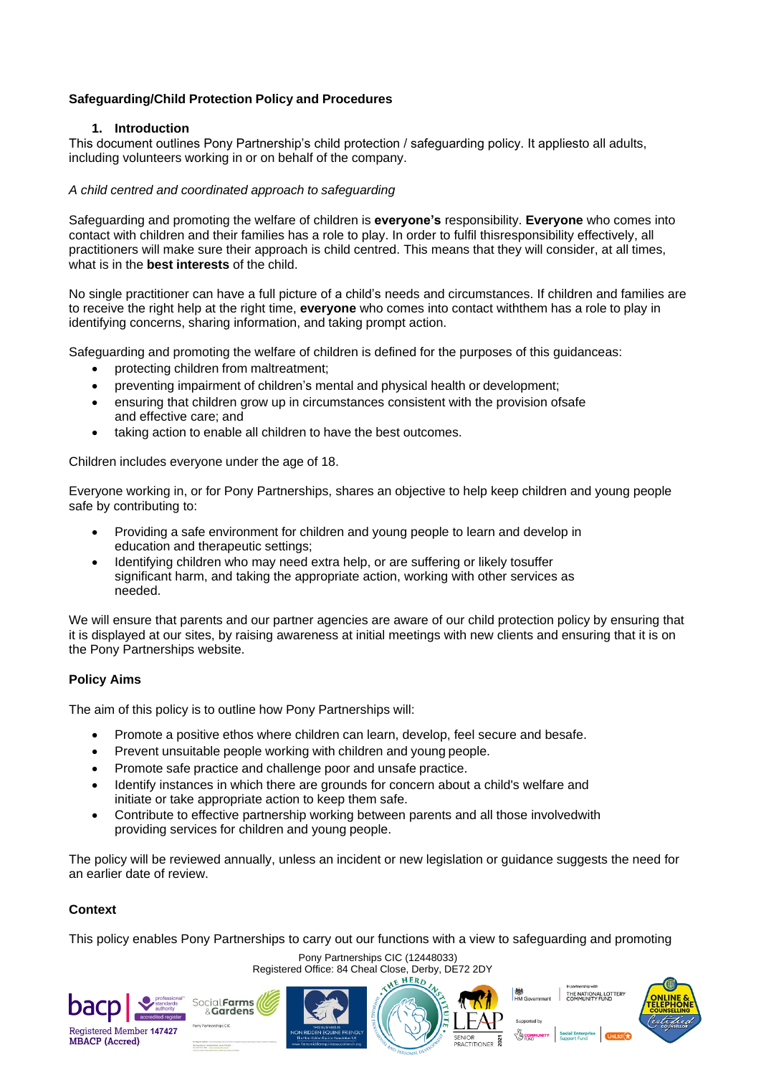# **Safeguarding/Child Protection Policy and Procedures**

## **1. Introduction**

This document outlines Pony Partnership's child protection / safeguarding policy. It appliesto all adults, including volunteers working in or on behalf of the company.

## *A child centred and coordinated approach to safeguarding*

Safeguarding and promoting the welfare of children is **everyone's** responsibility. **Everyone** who comes into contact with children and their families has a role to play. In order to fulfil thisresponsibility effectively, all practitioners will make sure their approach is child centred. This means that they will consider, at all times, what is in the **best interests** of the child.

No single practitioner can have a full picture of a child's needs and circumstances. If children and families are to receive the right help at the right time, **everyone** who comes into contact withthem has a role to play in identifying concerns, sharing information, and taking prompt action.

Safeguarding and promoting the welfare of children is defined for the purposes of this guidanceas:

- protecting children from maltreatment;
- preventing impairment of children's mental and physical health or development;
- ensuring that children grow up in circumstances consistent with the provision ofsafe and effective care; and
- taking action to enable all children to have the best outcomes.

Children includes everyone under the age of 18.

Everyone working in, or for Pony Partnerships, shares an objective to help keep children and young people safe by contributing to:

- Providing a safe environment for children and young people to learn and develop in education and therapeutic settings;
- Identifying children who may need extra help, or are suffering or likely tosuffer significant harm, and taking the appropriate action, working with other services as needed.

We will ensure that parents and our partner agencies are aware of our child protection policy by ensuring that it is displayed at our sites, by raising awareness at initial meetings with new clients and ensuring that it is on the Pony Partnerships website.

# **Policy Aims**

The aim of this policy is to outline how Pony Partnerships will:

- Promote a positive ethos where children can learn, develop, feel secure and besafe.
- Prevent unsuitable people working with children and young people.
- Promote safe practice and challenge poor and unsafe practice.
- Identify instances in which there are grounds for concern about a child's welfare and initiate or take appropriate action to keep them safe.
- Contribute to effective partnership working between parents and all those involvedwith providing services for children and young people.

The policy will be reviewed annually, unless an incident or new legislation or guidance suggests the need for an earlier date of review.

## **Context**

This policy enables Pony Partnerships to carry out our functions with a view to safeguarding and promoting

Pony Partnerships CIC (12448033) Registered Office: 84 Cheal Close, Derby, DE72 2DY









ुः<br>IM Government | THE NATIONAL LOTTERY<br>IM Government | COMMUNITY FUND

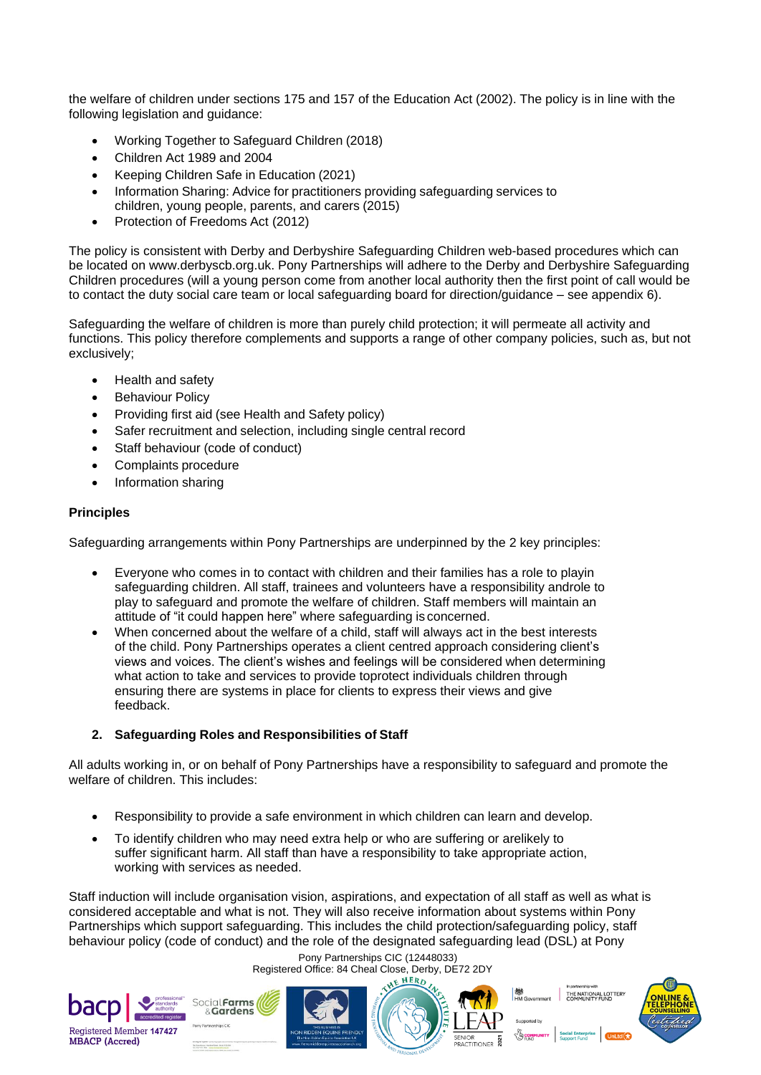the welfare of children under sections 175 and 157 of the Education Act (2002). The policy is in line with the following legislation and guidance:

- Working Together to Safeguard Children (2018)
- Children Act 1989 and 2004
- Keeping Children Safe in Education (2021)
- Information Sharing: Advice for practitioners providing safeguarding services to children, young people, parents, and carers (2015)
- Protection of Freedoms Act (2012)

The policy is consistent with Derby and Derbyshire Safeguarding Children web-based procedures which can be located on [www.derbyscb.org.uk. P](http://www.derbyscb.org.uk/)ony Partnerships will adhere to the Derby and Derbyshire Safeguarding Children procedures (will a young person come from another local authority then the first point of call would be to contact the duty social care team or local safeguarding board for direction/guidance – see appendix 6).

Safeguarding the welfare of children is more than purely child protection; it will permeate all activity and functions. This policy therefore complements and supports a range of other company policies, such as, but not exclusively;

- Health and safety
- **Behaviour Policy**
- Providing first aid (see Health and Safety policy)
- Safer recruitment and selection, including single central record
- Staff behaviour (code of conduct)
- Complaints procedure
- Information sharing

## **Principles**

Safeguarding arrangements within Pony Partnerships are underpinned by the 2 key principles:

- Everyone who comes in to contact with children and their families has a role to playin safeguarding children. All staff, trainees and volunteers have a responsibility androle to play to safeguard and promote the welfare of children. Staff members will maintain an attitude of "it could happen here" where safeguarding is concerned.
- When concerned about the welfare of a child, staff will always act in the best interests of the child. Pony Partnerships operates a client centred approach considering client's views and voices. The client's wishes and feelings will be considered when determining what action to take and services to provide toprotect individuals children through ensuring there are systems in place for clients to express their views and give feedback.

# **2. Safeguarding Roles and Responsibilities of Staff**

All adults working in, or on behalf of Pony Partnerships have a responsibility to safeguard and promote the welfare of children. This includes:

- Responsibility to provide a safe environment in which children can learn and develop.
- To identify children who may need extra help or who are suffering or arelikely to suffer significant harm. All staff than have a responsibility to take appropriate action, working with services as needed.

Staff induction will include organisation vision, aspirations, and expectation of all staff as well as what is considered acceptable and what is not. They will also receive information about systems within Pony Partnerships which support safeguarding. This includes the child protection/safeguarding policy, staff behaviour policy (code of conduct) and the role of the designated safeguarding lead (DSL) at Pony

Pony Partnerships CIC (12448033)

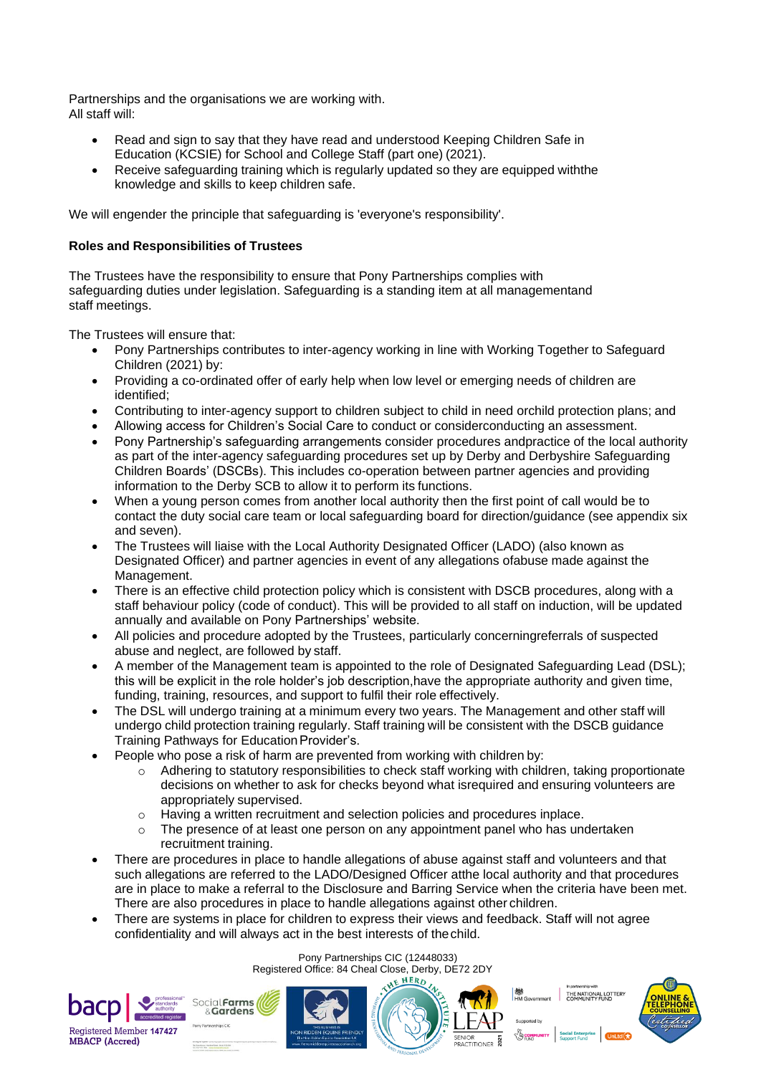Partnerships and the organisations we are working with. All staff will:

- Read and sign to say that they have read and understood Keeping Children Safe in Education (KCSIE) for School and College Staff (part one) (2021).
- Receive safeguarding training which is regularly updated so they are equipped with the knowledge and skills to keep children safe.

We will engender the principle that safeguarding is 'everyone's responsibility'.

## **Roles and Responsibilities of Trustees**

The Trustees have the responsibility to ensure that Pony Partnerships complies with safeguarding duties under legislation. Safeguarding is a standing item at all managementand staff meetings.

The Trustees will ensure that:

- Pony Partnerships contributes to inter-agency working in line with Working Together to Safeguard Children (2021) by:
- Providing a co-ordinated offer of early help when low level or emerging needs of children are identified;
- Contributing to inter-agency support to children subject to child in need orchild protection plans; and
- Allowing access for Children's Social Care to conduct or considerconducting an assessment.
- Pony Partnership's safeguarding arrangements consider procedures andpractice of the local authority as part of the inter-agency safeguarding procedures set up by Derby and Derbyshire Safeguarding Children Boards' (DSCBs). This includes co-operation between partner agencies and providing information to the Derby SCB to allow it to perform its functions.
- When a young person comes from another local authority then the first point of call would be to contact the duty social care team or local safeguarding board for direction/guidance (see appendix six and seven).
- The Trustees will liaise with the Local Authority Designated Officer (LADO) (also known as Designated Officer) and partner agencies in event of any allegations ofabuse made against the Management.
- There is an effective child protection policy which is consistent with DSCB procedures, along with a staff behaviour policy (code of conduct). This will be provided to all staff on induction, will be updated annually and available on Pony Partnerships' website.
- All policies and procedure adopted by the Trustees, particularly concerningreferrals of suspected abuse and neglect, are followed by staff.
- A member of the Management team is appointed to the role of Designated Safeguarding Lead (DSL); this will be explicit in the role holder's job description,have the appropriate authority and given time, funding, training, resources, and support to fulfil their role effectively.
- The DSL will undergo training at a minimum every two years. The Management and other staff will undergo child protection training regularly. Staff training will be consistent with the DSCB guidance Training Pathways for Education Provider's.
- People who pose a risk of harm are prevented from working with children by:
	- $\circ$  Adhering to statutory responsibilities to check staff working with children, taking proportionate decisions on whether to ask for checks beyond what isrequired and ensuring volunteers are appropriately supervised.
	- $\circ$  Having a written recruitment and selection policies and procedures inplace.
	- $\circ$  The presence of at least one person on any appointment panel who has undertaken recruitment training.
- There are procedures in place to handle allegations of abuse against staff and volunteers and that such allegations are referred to the LADO/Designed Officer atthe local authority and that procedures are in place to make a referral to the Disclosure and Barring Service when the criteria have been met. There are also procedures in place to handle allegations against other children.
- There are systems in place for children to express their views and feedback. Staff will not agree confidentiality and will always act in the best interests of thechild.











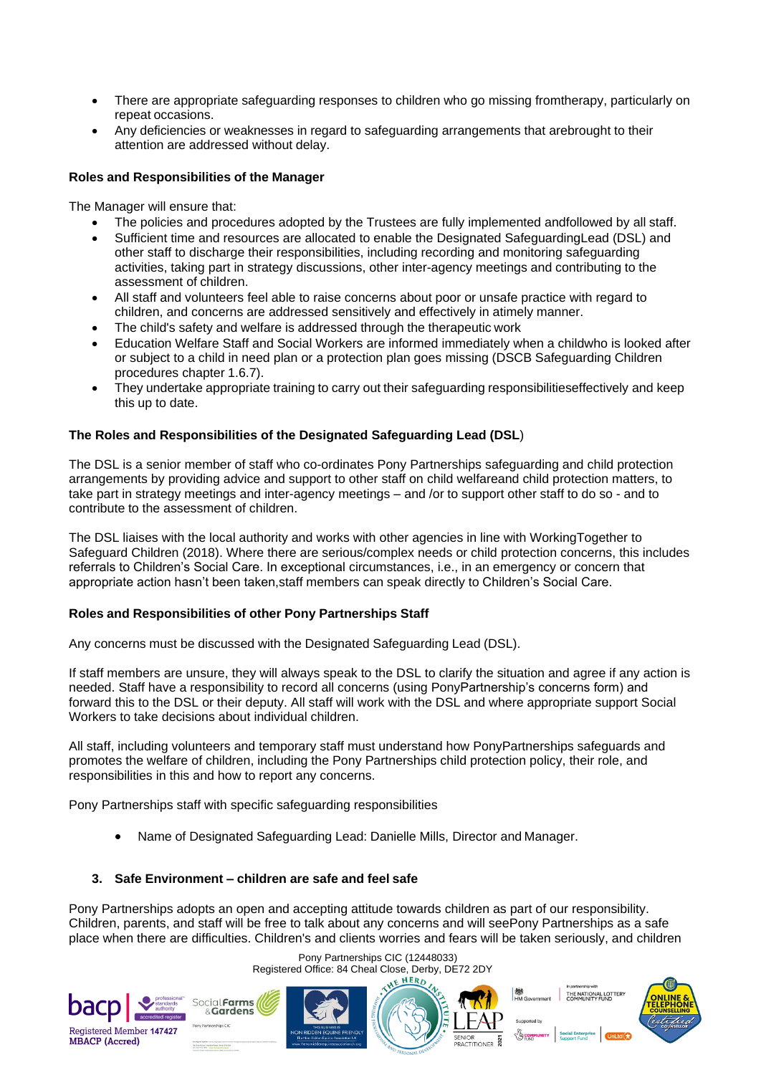- There are appropriate safeguarding responses to children who go missing fromtherapy, particularly on repeat occasions.
- Any deficiencies or weaknesses in regard to safeguarding arrangements that arebrought to their attention are addressed without delay.

## **Roles and Responsibilities of the Manager**

The Manager will ensure that:

- The policies and procedures adopted by the Trustees are fully implemented andfollowed by all staff.
- Sufficient time and resources are allocated to enable the Designated SafeguardingLead (DSL) and other staff to discharge their responsibilities, including recording and monitoring safeguarding activities, taking part in strategy discussions, other inter-agency meetings and contributing to the assessment of children.
- All staff and volunteers feel able to raise concerns about poor or unsafe practice with regard to children, and concerns are addressed sensitively and effectively in atimely manner.
- The child's safety and welfare is addressed through the therapeutic work
- Education Welfare Staff and Social Workers are informed immediately when a childwho is looked after or subject to a child in need plan or a protection plan goes missing (DSCB Safeguarding Children procedures chapter 1.6.7).
- They undertake appropriate training to carry out their safeguarding responsibilitieseffectively and keep this up to date.

## **The Roles and Responsibilities of the Designated Safeguarding Lead (DSL**)

The DSL is a senior member of staff who co-ordinates Pony Partnerships safeguarding and child protection arrangements by providing advice and support to other staff on child welfareand child protection matters, to take part in strategy meetings and inter-agency meetings – and /or to support other staff to do so - and to contribute to the assessment of children.

The DSL liaises with the local authority and works with other agencies in line with WorkingTogether to Safeguard Children (2018). Where there are serious/complex needs or child protection concerns, this includes referrals to Children's Social Care. In exceptional circumstances, i.e., in an emergency or concern that appropriate action hasn't been taken,staff members can speak directly to Children's Social Care.

## **Roles and Responsibilities of other Pony Partnerships Staff**

Any concerns must be discussed with the Designated Safeguarding Lead (DSL).

If staff members are unsure, they will always speak to the DSL to clarify the situation and agree if any action is needed. Staff have a responsibility to record all concerns (using PonyPartnership's concerns form) and forward this to the DSL or their deputy. All staff will work with the DSL and where appropriate support Social Workers to take decisions about individual children.

All staff, including volunteers and temporary staff must understand how PonyPartnerships safeguards and promotes the welfare of children, including the Pony Partnerships child protection policy, their role, and responsibilities in this and how to report any concerns.

Pony Partnerships staff with specific safeguarding responsibilities

• Name of Designated Safeguarding Lead: Danielle Mills, Director and Manager.

## **3. Safe Environment – children are safe and feel safe**

Pony Partnerships adopts an open and accepting attitude towards children as part of our responsibility. Children, parents, and staff will be free to talk about any concerns and will seePony Partnerships as a safe place when there are difficulties. Children's and clients worries and fears will be taken seriously, and children

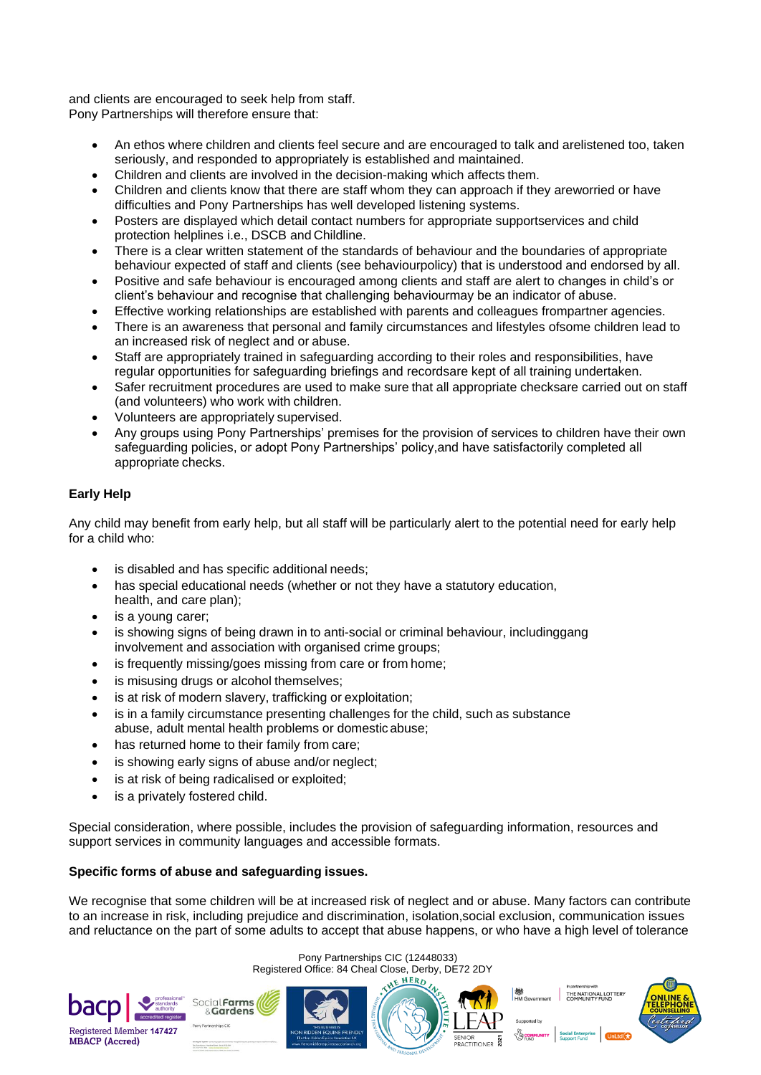and clients are encouraged to seek help from staff. Pony Partnerships will therefore ensure that:

- An ethos where children and clients feel secure and are encouraged to talk and arelistened too, taken seriously, and responded to appropriately is established and maintained.
- Children and clients are involved in the decision-making which affects them.
- Children and clients know that there are staff whom they can approach if they areworried or have difficulties and Pony Partnerships has well developed listening systems.
- Posters are displayed which detail contact numbers for appropriate supportservices and child protection helplines i.e., DSCB and Childline.
- There is a clear written statement of the standards of behaviour and the boundaries of appropriate behaviour expected of staff and clients (see behaviourpolicy) that is understood and endorsed by all.
- Positive and safe behaviour is encouraged among clients and staff are alert to changes in child's or client's behaviour and recognise that challenging behaviourmay be an indicator of abuse.
- Effective working relationships are established with parents and colleagues frompartner agencies.
- There is an awareness that personal and family circumstances and lifestyles ofsome children lead to an increased risk of neglect and or abuse.
- Staff are appropriately trained in safeguarding according to their roles and responsibilities, have regular opportunities for safeguarding briefings and recordsare kept of all training undertaken.
- Safer recruitment procedures are used to make sure that all appropriate checksare carried out on staff (and volunteers) who work with children.
- Volunteers are appropriately supervised.
- Any groups using Pony Partnerships' premises for the provision of services to children have their own safeguarding policies, or adopt Pony Partnerships' policy,and have satisfactorily completed all appropriate checks.

# **Early Help**

Any child may benefit from early help, but all staff will be particularly alert to the potential need for early help for a child who:

- is disabled and has specific additional needs;
- has special educational needs (whether or not they have a statutory education, health, and care plan);
- is a young carer;
- is showing signs of being drawn in to anti-social or criminal behaviour, includinggang involvement and association with organised crime groups;
- is frequently missing/goes missing from care or from home;
- is misusing drugs or alcohol themselves;
- is at risk of modern slavery, trafficking or exploitation;
- is in a family circumstance presenting challenges for the child, such as substance abuse, adult mental health problems or domesticabuse;
- has returned home to their family from care;
- is showing early signs of abuse and/or neglect;
- is at risk of being radicalised or exploited;
- is a privately fostered child.

Special consideration, where possible, includes the provision of safeguarding information, resources and support services in community languages and accessible formats.

# **Specific forms of abuse and safeguarding issues.**

We recognise that some children will be at increased risk of neglect and or abuse. Many factors can contribute to an increase in risk, including prejudice and discrimination, isolation,social exclusion, communication issues and reluctance on the part of some adults to accept that abuse happens, or who have a high level of tolerance

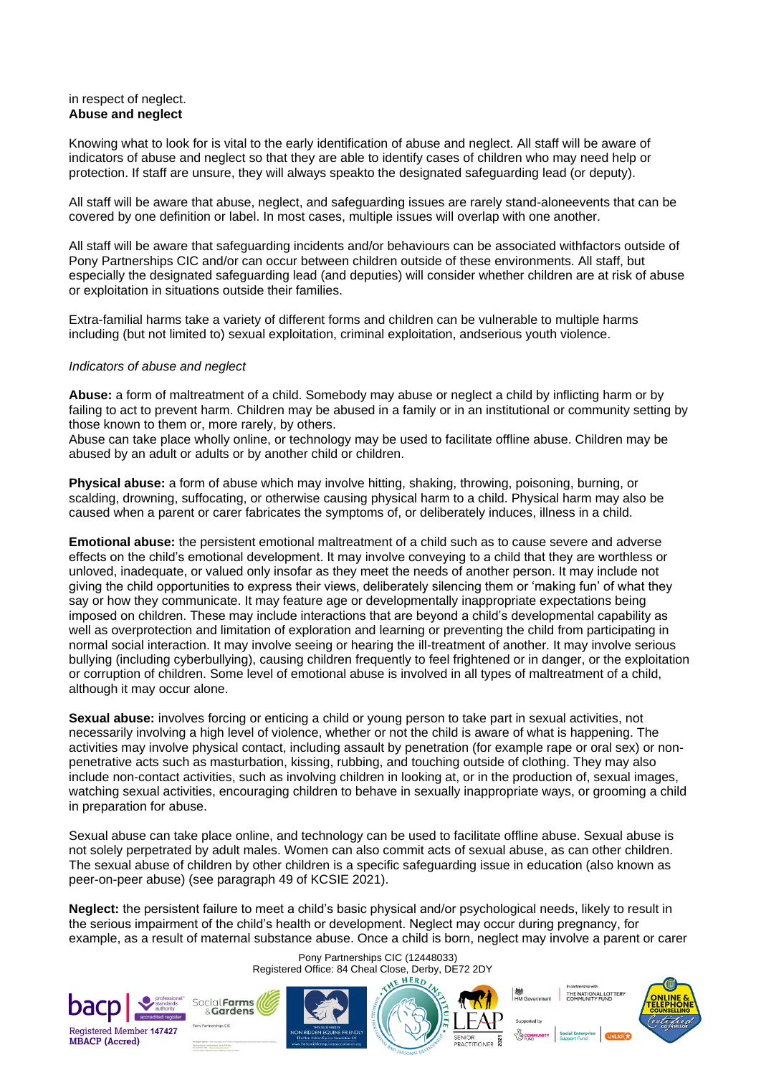#### in respect of neglect. **Abuse and neglect**

Knowing what to look for is vital to the early identification of abuse and neglect. All staff will be aware of indicators of abuse and neglect so that they are able to identify cases of children who may need help or protection. If staff are unsure, they will always speakto the designated safeguarding lead (or deputy).

All staff will be aware that abuse, neglect, and safeguarding issues are rarely stand-aloneevents that can be covered by one definition or label. In most cases, multiple issues will overlap with one another.

All staff will be aware that safeguarding incidents and/or behaviours can be associated withfactors outside of Pony Partnerships CIC and/or can occur between children outside of these environments. All staff, but especially the designated safeguarding lead (and deputies) will consider whether children are at risk of abuse or exploitation in situations outside their families.

Extra-familial harms take a variety of different forms and children can be vulnerable to multiple harms including (but not limited to) sexual exploitation, criminal exploitation, andserious youth violence.

#### *Indicators of abuse and neglect*

**Abuse:** a form of maltreatment of a child. Somebody may abuse or neglect a child by inflicting harm or by failing to act to prevent harm. Children may be abused in a family or in an institutional or community setting by those known to them or, more rarely, by others.

Abuse can take place wholly online, or technology may be used to facilitate offline abuse. Children may be abused by an adult or adults or by another child or children.

**Physical abuse:** a form of abuse which may involve hitting, shaking, throwing, poisoning, burning, or scalding, drowning, suffocating, or otherwise causing physical harm to a child. Physical harm may also be caused when a parent or carer fabricates the symptoms of, or deliberately induces, illness in a child.

**Emotional abuse:** the persistent emotional maltreatment of a child such as to cause severe and adverse effects on the child's emotional development. It may involve conveying to a child that they are worthless or unloved, inadequate, or valued only insofar as they meet the needs of another person. It may include not giving the child opportunities to express their views, deliberately silencing them or 'making fun' of what they say or how they communicate. It may feature age or developmentally inappropriate expectations being imposed on children. These may include interactions that are beyond a child's developmental capability as well as overprotection and limitation of exploration and learning or preventing the child from participating in normal social interaction. It may involve seeing or hearing the ill-treatment of another. It may involve serious bullying (including cyberbullying), causing children frequently to feel frightened or in danger, or the exploitation or corruption of children. Some level of emotional abuse is involved in all types of maltreatment of a child, although it may occur alone.

**Sexual abuse:** involves forcing or enticing a child or young person to take part in sexual activities, not necessarily involving a high level of violence, whether or not the child is aware of what is happening. The activities may involve physical contact, including assault by penetration (for example rape or oral sex) or nonpenetrative acts such as masturbation, kissing, rubbing, and touching outside of clothing. They may also include non-contact activities, such as involving children in looking at, or in the production of, sexual images, watching sexual activities, encouraging children to behave in sexually inappropriate ways, or grooming a child in preparation for abuse.

Sexual abuse can take place online, and technology can be used to facilitate offline abuse. Sexual abuse is not solely perpetrated by adult males. Women can also commit acts of sexual abuse, as can other children. The sexual abuse of children by other children is a specific safeguarding issue in education (also known as peer-on-peer abuse) (see paragraph 49 of KCSIE 2021).

**Neglect:** the persistent failure to meet a child's basic physical and/or psychological needs, likely to result in the serious impairment of the child's health or development. Neglect may occur during pregnancy, for example, as a result of maternal substance abuse. Once a child is born, neglect may involve a parent or carer

> Pony Partnerships CIC (12448033) Registered Office: 84 Cheal Close, Derby, DE72 2DY











THE NATIONAL LOTTERY

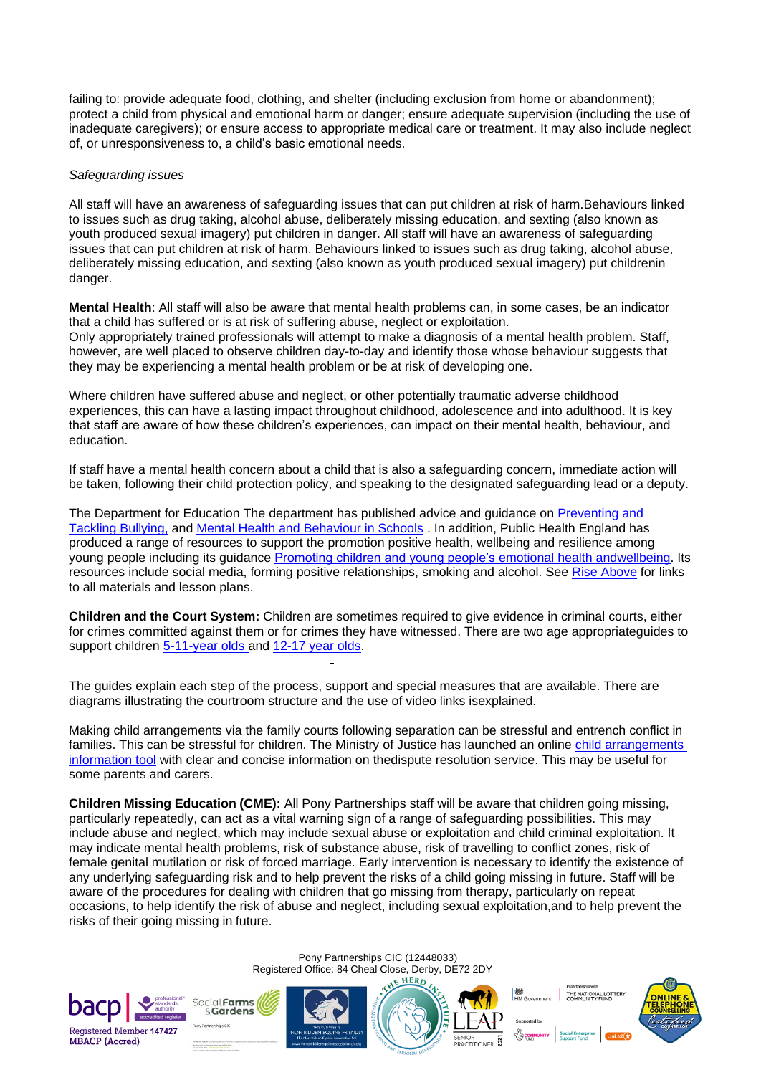failing to: provide adequate food, clothing, and shelter (including exclusion from home or abandonment); protect a child from physical and emotional harm or danger; ensure adequate supervision (including the use of inadequate caregivers); or ensure access to appropriate medical care or treatment. It may also include neglect of, or unresponsiveness to, a child's basic emotional needs.

#### *Safeguarding issues*

All staff will have an awareness of safeguarding issues that can put children at risk of harm.Behaviours linked to issues such as drug taking, alcohol abuse, deliberately missing education, and sexting (also known as youth produced sexual imagery) put children in danger. All staff will have an awareness of safeguarding issues that can put children at risk of harm. Behaviours linked to issues such as drug taking, alcohol abuse, deliberately missing education, and sexting (also known as youth produced sexual imagery) put childrenin danger.

**Mental Health**: All staff will also be aware that mental health problems can, in some cases, be an indicator that a child has suffered or is at risk of suffering abuse, neglect or exploitation. Only appropriately trained professionals will attempt to make a diagnosis of a mental health problem. Staff, however, are well placed to observe children day-to-day and identify those whose behaviour suggests that they may be experiencing a mental health problem or be at risk of developing one.

Where children have suffered abuse and neglect, or other potentially traumatic adverse childhood experiences, this can have a lasting impact throughout childhood, adolescence and into adulthood. It is key that staff are aware of how these children's experiences, can impact on their mental health, behaviour, and education.

If staff have a mental health concern about a child that is also a safeguarding concern, immediate action will be taken, following their child protection policy, and speaking to the designated safeguarding lead or a deputy.

The Department for Education The department has published advice and guidance on [Preventing and](https://assets.publishing.service.gov.uk/government/uploads/system/uploads/attachment_data/file/623895/Preventing_and_tackling_bullying_advice.pdf)  [Tackling Bullying,](https://assets.publishing.service.gov.uk/government/uploads/system/uploads/attachment_data/file/623895/Preventing_and_tackling_bullying_advice.pdf) and [Mental Health and Behaviour in Schools](https://www.gov.uk/government/publications/mental-health-and-behaviour-in-schools--2) . In addition, Public Health England has produced a range of resources to support the promotion positive health, wellbeing and resilience among young people including its guidance [Promoting children and young people's emotional health andwellbeing. I](https://www.gov.uk/government/publications/promoting-children-and-young-peoples-emotional-health-and-wellbeing)ts resources include social media, forming positive relationships, smoking and alcohol. See [Rise Above](https://campaignresources.phe.gov.uk/schools/topics/rise-above/overview) for links to all materials and lesson plans.

**Children and the Court System:** Children are sometimes required to give evidence in criminal courts, either for crimes committed against them or for crimes they have witnessed. There are two age appropriateguides to support children [5-11-year](http://formfinder.hmctsformfinder.justice.gov.uk/ywp-5-11-eng.pdf) olds and [12-17](http://formfinder.hmctsformfinder.justice.gov.uk/ywp-12-17-eng.pdf) year olds.

The guides explain each step of the process, support and special measures that are available. There are diagrams illustrating the courtroom structure and the use of video links isexplained.

Making child arrangements via the family courts following separation can be stressful and entrench conflict in families. This can be stressful for children. The Ministry of Justice has launched an online [child arrangements](https://helpwithchildarrangements.service.justice.gov.uk/)  [information tool](https://helpwithchildarrangements.service.justice.gov.uk/) with clear and concise information on thedispute resolution service. This may be useful for some parents and carers.

**Children Missing Education (CME):** All Pony Partnerships staff will be aware that children going missing, particularly repeatedly, can act as a vital warning sign of a range of safeguarding possibilities. This may include abuse and neglect, which may include sexual abuse or exploitation and child criminal exploitation. It may indicate mental health problems, risk of substance abuse, risk of travelling to conflict zones, risk of female genital mutilation or risk of forced marriage. Early intervention is necessary to identify the existence of any underlying safeguarding risk and to help prevent the risks of a child going missing in future. Staff will be aware of the procedures for dealing with children that go missing from therapy, particularly on repeat occasions, to help identify the risk of abuse and neglect, including sexual exploitation,and to help prevent the risks of their going missing in future.

Pony Partnerships CIC (12448033)

DaCD Registered Member 147427 **MBACP** (Accred)







THE NATIONAL LOTTERY<br>COMMUNITY FUND

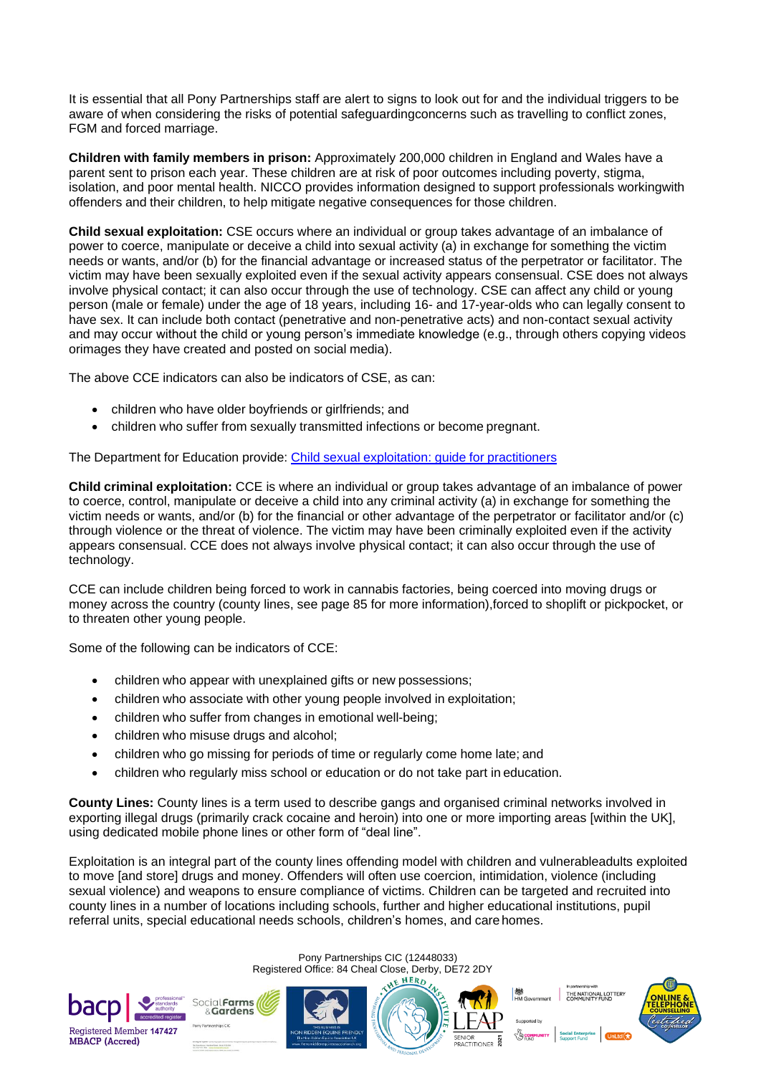It is essential that all Pony Partnerships staff are alert to signs to look out for and the individual triggers to be aware of when considering the risks of potential safeguardingconcerns such as travelling to conflict zones, FGM and forced marriage.

**Children with family members in prison:** Approximately 200,000 children in England and Wales have a parent sent to prison each year. These children are at risk of poor outcomes including poverty, stigma, isolation, and poor mental health. NICCO provides information designed to support professionals workingwith offenders and their children, to help mitigate negative consequences for those children.

**Child sexual exploitation:** CSE occurs where an individual or group takes advantage of an imbalance of power to coerce, manipulate or deceive a child into sexual activity (a) in exchange for something the victim needs or wants, and/or (b) for the financial advantage or increased status of the perpetrator or facilitator. The victim may have been sexually exploited even if the sexual activity appears consensual. CSE does not always involve physical contact; it can also occur through the use of technology. CSE can affect any child or young person (male or female) under the age of 18 years, including 16- and 17-year-olds who can legally consent to have sex. It can include both contact (penetrative and non-penetrative acts) and non-contact sexual activity and may occur without the child or young person's immediate knowledge (e.g., through others copying videos orimages they have created and posted on social media).

The above CCE indicators can also be indicators of CSE, as can:

- children who have older boyfriends or girlfriends; and
- children who suffer from sexually transmitted infections or become pregnant.

The Department for Education provide: Child sexual exploitation: guide for [practitioners](https://www.gov.uk/government/publications/child-sexual-exploitation-definition-and-guide-for-practitioners)

**Child criminal exploitation:** CCE is where an individual or group takes advantage of an imbalance of power to coerce, control, manipulate or deceive a child into any criminal activity (a) in exchange for something the victim needs or wants, and/or (b) for the financial or other advantage of the perpetrator or facilitator and/or (c) through violence or the threat of violence. The victim may have been criminally exploited even if the activity appears consensual. CCE does not always involve physical contact; it can also occur through the use of technology.

CCE can include children being forced to work in cannabis factories, being coerced into moving drugs or money across the country (county lines, see page 85 for more information),forced to shoplift or pickpocket, or to threaten other young people.

Some of the following can be indicators of CCE:

- children who appear with unexplained gifts or new possessions;
- children who associate with other young people involved in exploitation;
- children who suffer from changes in emotional well-being;
- children who misuse drugs and alcohol;
- children who go missing for periods of time or regularly come home late; and
- children who regularly miss school or education or do not take part in education.

**County Lines:** County lines is a term used to describe gangs and organised criminal networks involved in exporting illegal drugs (primarily crack cocaine and heroin) into one or more importing areas [within the UK], using dedicated mobile phone lines or other form of "deal line".

Exploitation is an integral part of the county lines offending model with children and vulnerableadults exploited to move [and store] drugs and money. Offenders will often use coercion, intimidation, violence (including sexual violence) and weapons to ensure compliance of victims. Children can be targeted and recruited into county lines in a number of locations including schools, further and higher educational institutions, pupil referral units, special educational needs schools, children's homes, and carehomes.

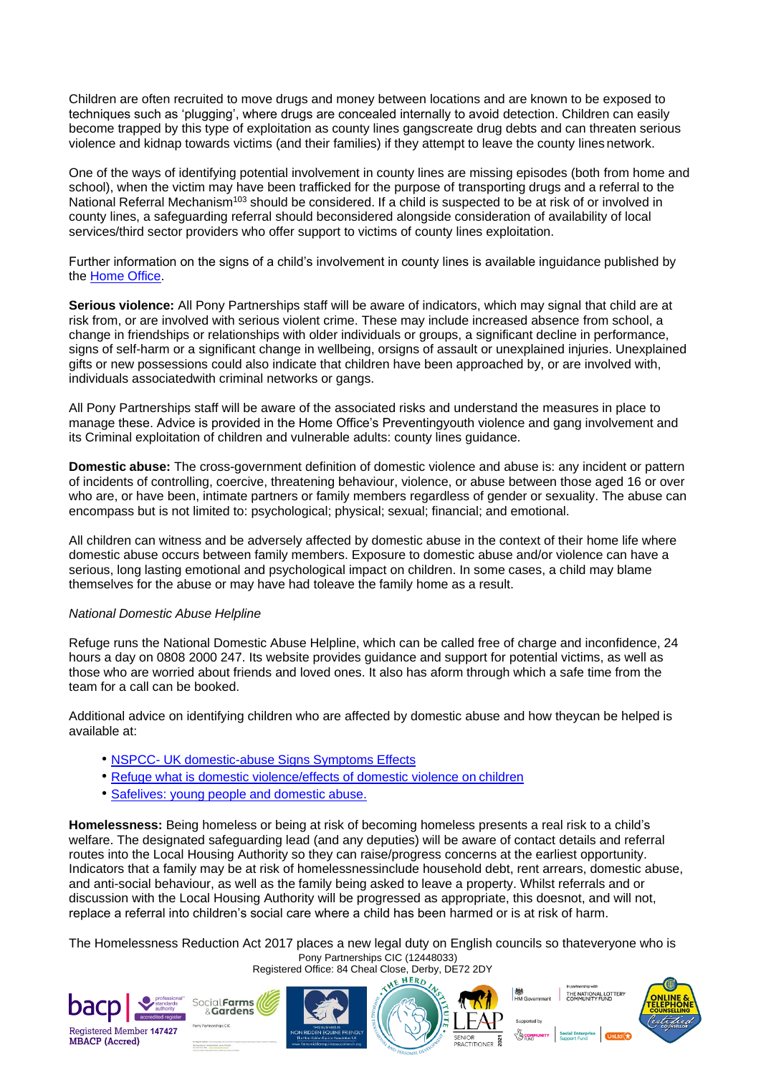Children are often recruited to move drugs and money between locations and are known to be exposed to techniques such as 'plugging', where drugs are concealed internally to avoid detection. Children can easily become trapped by this type of exploitation as county lines gangscreate drug debts and can threaten serious violence and kidnap towards victims (and their families) if they attempt to leave the county lines network.

One of the ways of identifying potential involvement in county lines are missing episodes (both from home and school), when the victim may have been trafficked for the purpose of transporting drugs and a referral to the National Referral Mechanism<sup>103</sup> should be considered. If a child is suspected to be at risk of or involved in county lines, a safeguarding referral should beconsidered alongside consideration of availability of local services/third sector providers who offer support to victims of county lines exploitation.

Further information on the signs of a child's involvement in county lines is available inguidance published by the Home Office.

**Serious violence:** All Pony Partnerships staff will be aware of indicators, which may signal that child are at risk from, or are involved with serious violent crime. These may include increased absence from school, a change in friendships or relationships with older individuals or groups, a significant decline in performance, signs of self-harm or a significant change in wellbeing, orsigns of assault or unexplained injuries. Unexplained gifts or new possessions could also indicate that children have been approached by, or are involved with, individuals associatedwith criminal networks or gangs.

All Pony Partnerships staff will be aware of the associated risks and understand the measures in place to manage these. Advice is provided in the Home Office's Preventingyouth violence and gang involvement and its Criminal exploitation of children and vulnerable adults: county lines guidance.

**Domestic abuse:** The cross-government definition of domestic violence and abuse is: any incident or pattern of incidents of controlling, coercive, threatening behaviour, violence, or abuse between those aged 16 or over who are, or have been, intimate partners or family members regardless of gender or sexuality. The abuse can encompass but is not limited to: psychological; physical; sexual; financial; and emotional.

All children can witness and be adversely affected by domestic abuse in the context of their home life where domestic abuse occurs between family members. Exposure to domestic abuse and/or violence can have a serious, long lasting emotional and psychological impact on children. In some cases, a child may blame themselves for the abuse or may have had toleave the family home as a result.

## *National Domestic Abuse Helpline*

Refuge runs the National Domestic Abuse Helpline, which can be called free of charge and inconfidence, 24 hours a day on 0808 2000 247. Its website provides guidance and support for potential victims, as well as those who are worried about friends and loved ones. It also has aform through which a safe time from the team for a call can be booked.

Additional advice on identifying children who are affected by domestic abuse and how theycan be helped is available at:

- NSPCC- UK [domestic-abuse](https://www.nspcc.org.uk/preventing-abuse/child-abuse-and-neglect/domestic-abuse/signs-symptoms-effects/) Signs Symptoms Effects
- Refuge what is domestic [violence/effects](http://www.refuge.org.uk/get-help-now/what-is-domestic-violence/effects-of-domestic-violence-on-children/) of domestic violence on children
- [Safelives:](http://www.safelives.org.uk/knowledge-hub/spotlights/spotlight-3-young-people-and-domestic-abuse) young people and domestic abuse.

**Homelessness:** Being homeless or being at risk of becoming homeless presents a real risk to a child's welfare. The designated safeguarding lead (and any deputies) will be aware of contact details and referral routes into the Local Housing Authority so they can raise/progress concerns at the earliest opportunity. Indicators that a family may be at risk of homelessnessinclude household debt, rent arrears, domestic abuse, and anti-social behaviour, as well as the family being asked to leave a property. Whilst referrals and or discussion with the Local Housing Authority will be progressed as appropriate, this doesnot, and will not, replace a referral into children's social care where a child has been harmed or is at risk of harm.

Pony Partnerships CIC (12448033) The Homelessness Reduction Act 2017 places a new legal duty on English councils so thateveryone who is

Registered Office: 84 Cheal Close, Derby, DE72 2DY











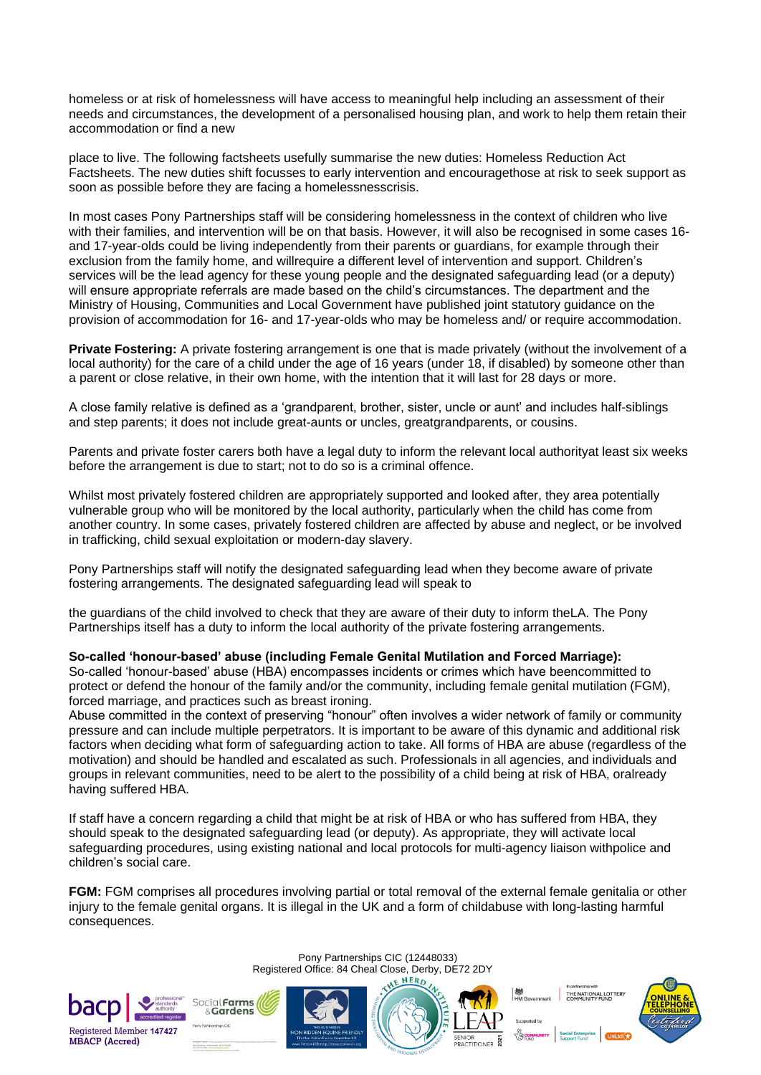homeless or at risk of homelessness will have access to meaningful help including an assessment of their needs and circumstances, the development of a personalised housing plan, and work to help them retain their accommodation or find a new

place to live. The following factsheets usefully summarise the new duties: Homeless Reduction Act Factsheets. The new duties shift focusses to early intervention and encouragethose at risk to seek support as soon as possible before they are facing a homelessnesscrisis.

In most cases Pony Partnerships staff will be considering homelessness in the context of children who live with their families, and intervention will be on that basis. However, it will also be recognised in some cases 16and 17-year-olds could be living independently from their parents or guardians, for example through their exclusion from the family home, and willrequire a different level of intervention and support. Children's services will be the lead agency for these young people and the designated safeguarding lead (or a deputy) will ensure appropriate referrals are made based on the child's circumstances. The department and the Ministry of Housing, Communities and Local Government have published joint statutory guidance on the provision of accommodation for 16- and 17-year-olds who may be homeless and/ or require accommodation.

**Private Fostering:** A private fostering arrangement is one that is made privately (without the involvement of a local authority) for the care of a child under the age of 16 years (under 18, if disabled) by someone other than a parent or close relative, in their own home, with the intention that it will last for 28 days or more.

A close family relative is defined as a 'grandparent, brother, sister, uncle or aunt' and includes half-siblings and step parents; it does not include great-aunts or uncles, greatgrandparents, or cousins.

Parents and private foster carers both have a legal duty to inform the relevant local authorityat least six weeks before the arrangement is due to start; not to do so is a criminal offence.

Whilst most privately fostered children are appropriately supported and looked after, they area potentially vulnerable group who will be monitored by the local authority, particularly when the child has come from another country. In some cases, privately fostered children are affected by abuse and neglect, or be involved in trafficking, child sexual exploitation or modern-day slavery.

Pony Partnerships staff will notify the designated safeguarding lead when they become aware of private fostering arrangements. The designated safeguarding lead will speak to

the guardians of the child involved to check that they are aware of their duty to inform theLA. The Pony Partnerships itself has a duty to inform the local authority of the private fostering arrangements.

## **So-called 'honour-based' abuse (including Female Genital Mutilation and Forced Marriage):**

So-called 'honour-based' abuse (HBA) encompasses incidents or crimes which have beencommitted to protect or defend the honour of the family and/or the community, including female genital mutilation (FGM), forced marriage, and practices such as breast ironing.

Abuse committed in the context of preserving "honour" often involves a wider network of family or community pressure and can include multiple perpetrators. It is important to be aware of this dynamic and additional risk factors when deciding what form of safeguarding action to take. All forms of HBA are abuse (regardless of the motivation) and should be handled and escalated as such. Professionals in all agencies, and individuals and groups in relevant communities, need to be alert to the possibility of a child being at risk of HBA, oralready having suffered HBA.

If staff have a concern regarding a child that might be at risk of HBA or who has suffered from HBA, they should speak to the designated safeguarding lead (or deputy). As appropriate, they will activate local safeguarding procedures, using existing national and local protocols for multi-agency liaison withpolice and children's social care.

**FGM:** FGM comprises all procedures involving partial or total removal of the external female genitalia or other injury to the female genital organs. It is illegal in the UK and a form of childabuse with long-lasting harmful consequences.



al Farms

& Gardens





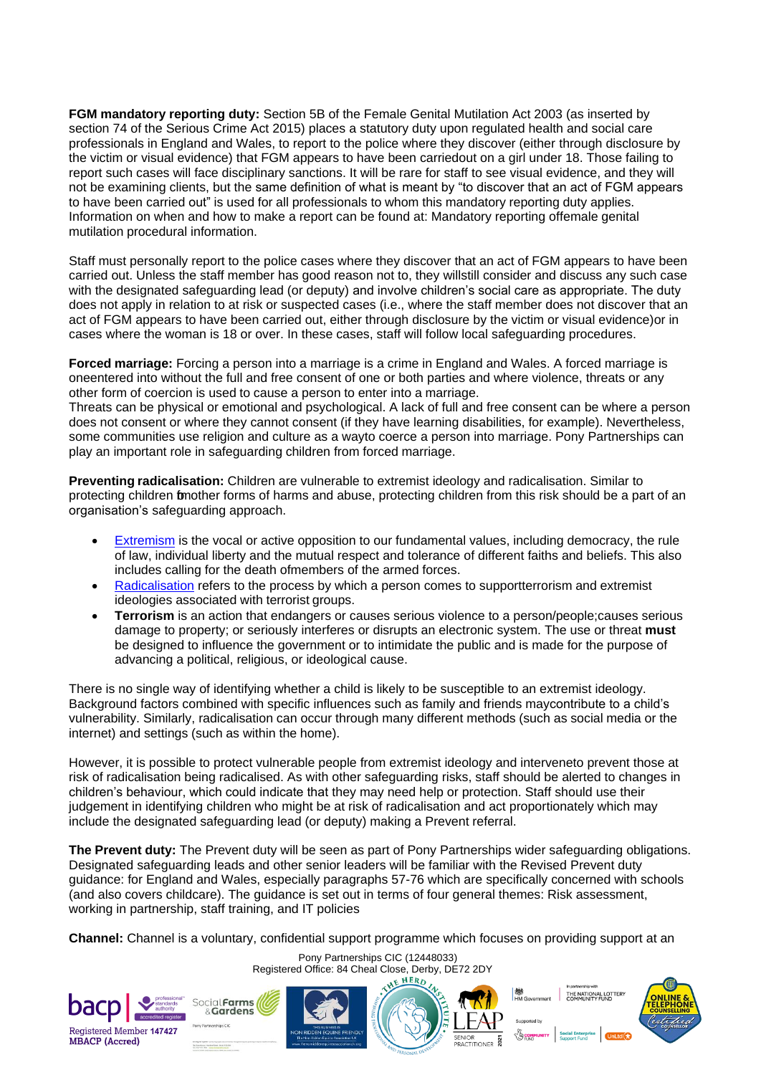**FGM mandatory reporting duty:** Section 5B of the Female Genital Mutilation Act 2003 (as inserted by section 74 of the Serious Crime Act 2015) places a statutory duty upon regulated health and social care professionals in England and Wales, to report to the police where they discover (either through disclosure by the victim or visual evidence) that FGM appears to have been carriedout on a girl under 18. Those failing to report such cases will face disciplinary sanctions. It will be rare for staff to see visual evidence, and they will not be examining clients, but the same definition of what is meant by "to discover that an act of FGM appears to have been carried out" is used for all professionals to whom this mandatory reporting duty applies. Information on when and how to make a report can be found at: Mandatory reporting offemale genital mutilation procedural information.

Staff must personally report to the police cases where they discover that an act of FGM appears to have been carried out. Unless the staff member has good reason not to, they willstill consider and discuss any such case with the designated safeguarding lead (or deputy) and involve children's social care as appropriate. The duty does not apply in relation to at risk or suspected cases (i.e., where the staff member does not discover that an act of FGM appears to have been carried out, either through disclosure by the victim or visual evidence)or in cases where the woman is 18 or over. In these cases, staff will follow local safeguarding procedures.

**Forced marriage:** Forcing a person into a marriage is a crime in England and Wales. A forced marriage is oneentered into without the full and free consent of one or both parties and where violence, threats or any other form of coercion is used to cause a person to enter into a marriage.

Threats can be physical or emotional and psychological. A lack of full and free consent can be where a person does not consent or where they cannot consent (if they have learning disabilities, for example). Nevertheless, some communities use religion and culture as a wayto coerce a person into marriage. Pony Partnerships can play an important role in safeguarding children from forced marriage.

**Preventing radicalisation:** Children are vulnerable to extremist ideology and radicalisation. Similar to protecting children from forms of harms and abuse, protecting children from this risk should be a part of an organisation's safeguarding approach.

- [Extremism](https://assets.publishing.service.gov.uk/government/uploads/system/uploads/attachment_data/file/470088/51859_Cm9148_Accessible.pdf) is the vocal or active opposition to our fundamental values, including democracy, the rule of law, individual liberty and the mutual respect and tolerance of different faiths and beliefs. This also includes calling for the death ofmembers of the armed forces.
- [Radicalisation](https://assets.publishing.service.gov.uk/government/uploads/system/uploads/attachment_data/file/445977/3799_Revised_Prevent_Duty_Guidance__England_Wales_V2-Interactive.pdf) refers to the process by which a person comes to supportterrorism and extremist ideologies associated with terrorist groups.
- **Terrorism** is an action that endangers or causes serious violence to a person/people;causes serious damage to property; or seriously interferes or disrupts an electronic system. The use or threat **must**  be designed to influence the government or to intimidate the public and is made for the purpose of advancing a political, religious, or ideological cause.

There is no single way of identifying whether a child is likely to be susceptible to an extremist ideology. Background factors combined with specific influences such as family and friends maycontribute to a child's vulnerability. Similarly, radicalisation can occur through many different methods (such as social media or the internet) and settings (such as within the home).

However, it is possible to protect vulnerable people from extremist ideology and interveneto prevent those at risk of radicalisation being radicalised. As with other safeguarding risks, staff should be alerted to changes in children's behaviour, which could indicate that they may need help or protection. Staff should use their judgement in identifying children who might be at risk of radicalisation and act proportionately which may include the designated safeguarding lead (or deputy) making a Prevent referral.

**The Prevent duty:** The Prevent duty will be seen as part of Pony Partnerships wider safeguarding obligations. Designated safeguarding leads and other senior leaders will be familiar with the Revised Prevent duty guidance: for England and Wales, especially paragraphs 57-76 which are specifically concerned with schools (and also covers childcare). The guidance is set out in terms of four general themes: Risk assessment, working in partnership, staff training, and IT policies

**Channel:** Channel is a voluntary, confidential support programme which focuses on providing support at an











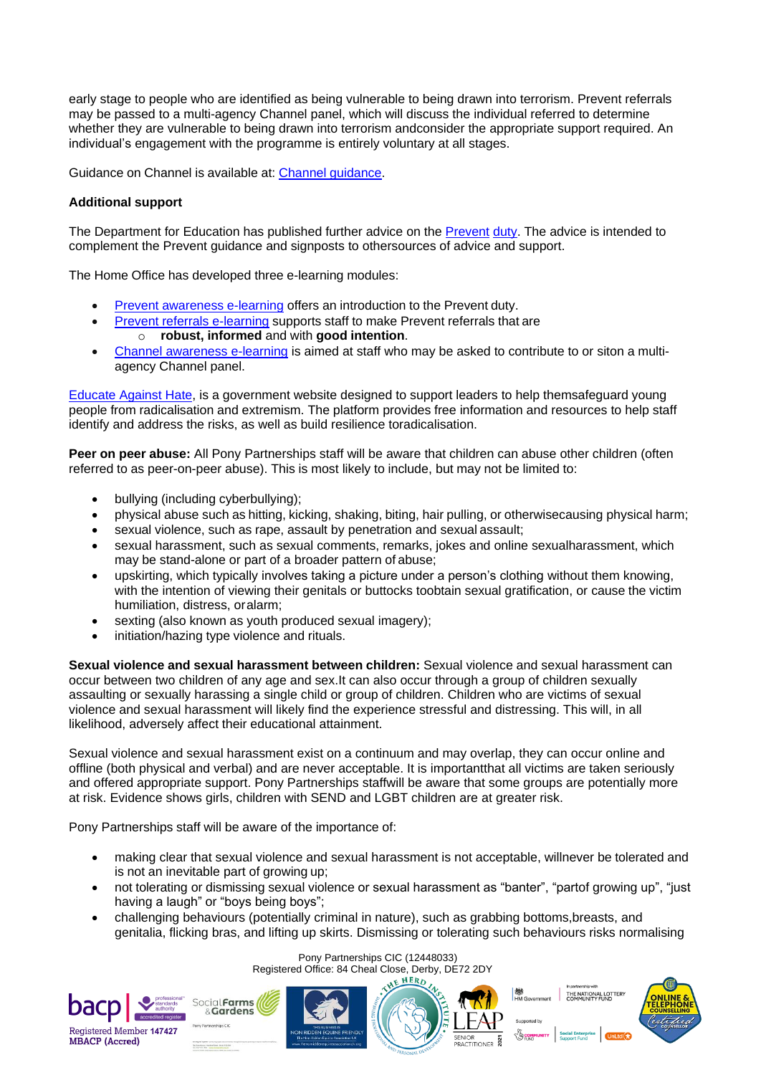early stage to people who are identified as being vulnerable to being drawn into terrorism. Prevent referrals may be passed to a multi-agency Channel panel, which will discuss the individual referred to determine whether they are vulnerable to being drawn into terrorism andconsider the appropriate support required. An individual's engagement with the programme is entirely voluntary at all stages.

Guidance on Channel is available at: Channel [guidance.](https://www.gov.uk/government/publications/channel-guidance)

## **Additional support**

The Department for Education has published further advice on the **Prevent duty**. The advice is intended to complement the Prevent guidance and signposts to othersources of advice and support.

The Home Office has developed three e-learning modules:

- Prevent [awareness](http://www.elearning.prevent.homeoffice.gov.uk/) e-learning offers an introduction to the Prevent duty.
- Prevent referrals [e-learning](https://www.elearning.prevent.homeoffice.gov.uk/preventreferrals) supports staff to make Prevent referrals that are o **robust, informed** and with **good intention**.
- [Channel awareness e-learning](https://www.elearning.prevent.homeoffice.gov.uk/channel_awareness/01-welcome.html) is aimed at staff who may be asked to contribute to or siton a multiagency Channel panel.

[Educate Against Hate](https://educateagainsthate.com/)[, is](http://educateagainsthate.com/) a government website designed to support leaders to help themsafeguard young people from radicalisation and extremism. The platform provides free information and resources to help staff identify and address the risks, as well as build resilience toradicalisation.

**Peer on peer abuse:** All Pony Partnerships staff will be aware that children can abuse other children (often referred to as peer-on-peer abuse). This is most likely to include, but may not be limited to:

- bullying (including cyberbullying);
- physical abuse such as hitting, kicking, shaking, biting, hair pulling, or otherwisecausing physical harm;
- sexual violence, such as rape, assault by penetration and sexual assault;
- sexual harassment, such as sexual comments, remarks, jokes and online sexualharassment, which may be stand-alone or part of a broader pattern of abuse;
- upskirting, which typically involves taking a picture under a person's clothing without them knowing, with the intention of viewing their genitals or buttocks toobtain sexual gratification, or cause the victim humiliation, distress, oralarm;
- sexting (also known as youth produced sexual imagery);
- initiation/hazing type violence and rituals.

**Sexual violence and sexual harassment between children:** Sexual violence and sexual harassment can occur between two children of any age and sex.It can also occur through a group of children sexually assaulting or sexually harassing a single child or group of children. Children who are victims of sexual violence and sexual harassment will likely find the experience stressful and distressing. This will, in all likelihood, adversely affect their educational attainment.

Sexual violence and sexual harassment exist on a continuum and may overlap, they can occur online and offline (both physical and verbal) and are never acceptable. It is importantthat all victims are taken seriously and offered appropriate support. Pony Partnerships staffwill be aware that some groups are potentially more at risk. Evidence shows girls, children with SEND and LGBT children are at greater risk.

Pony Partnerships staff will be aware of the importance of:

- making clear that sexual violence and sexual harassment is not acceptable, willnever be tolerated and is not an inevitable part of growing up;
- not tolerating or dismissing sexual violence or sexual harassment as "banter", "partof growing up", "just having a laugh" or "boys being boys";
- challenging behaviours (potentially criminal in nature), such as grabbing bottoms,breasts, and genitalia, flicking bras, and lifting up skirts. Dismissing or tolerating such behaviours risks normalising

Pony Partnerships CIC (12448033) Registered Office: 84 Cheal Close, Derby, DE72 2DY







THE NATIONAL LOTTERY

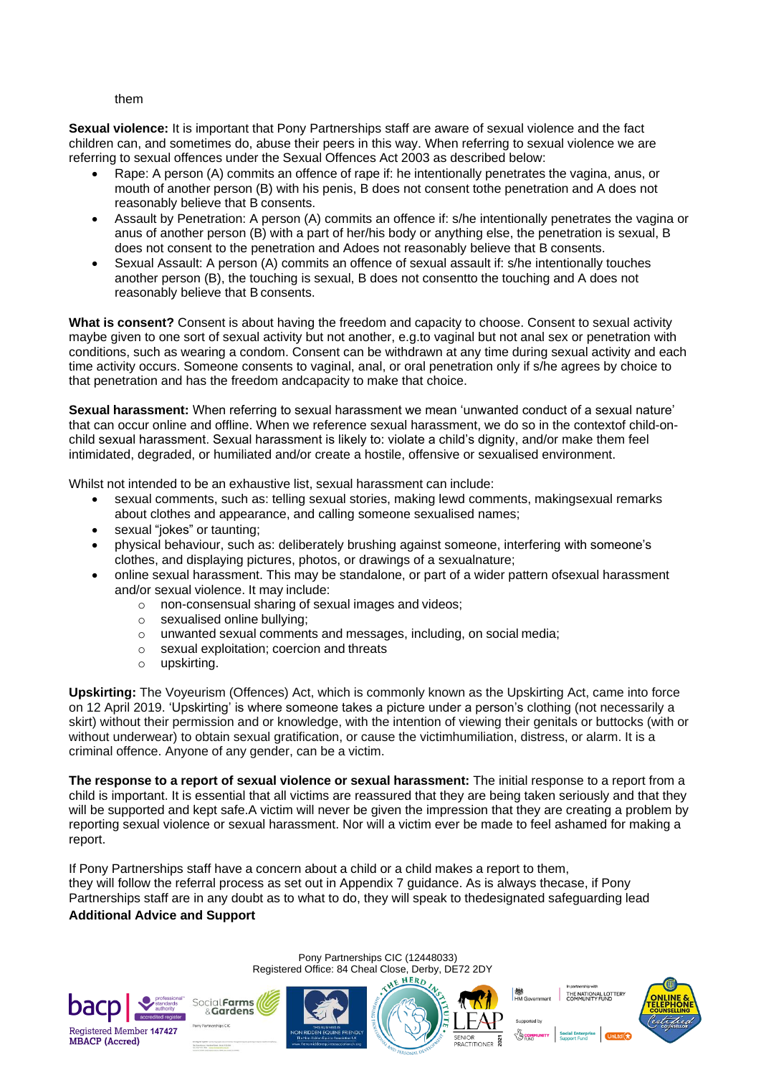#### them

**Sexual violence:** It is important that Pony Partnerships staff are aware of sexual violence and the fact children can, and sometimes do, abuse their peers in this way. When referring to sexual violence we are referring to sexual offences under the Sexual Offences Act 2003 as described below:

- Rape: A person (A) commits an offence of rape if: he intentionally penetrates the vagina, anus, or mouth of another person (B) with his penis, B does not consent tothe penetration and A does not reasonably believe that B consents.
- Assault by Penetration: A person (A) commits an offence if: s/he intentionally penetrates the vagina or anus of another person (B) with a part of her/his body or anything else, the penetration is sexual, B does not consent to the penetration and Adoes not reasonably believe that B consents.
- Sexual Assault: A person (A) commits an offence of sexual assault if: s/he intentionally touches another person (B), the touching is sexual, B does not consentto the touching and A does not reasonably believe that B consents.

**What is consent?** Consent is about having the freedom and capacity to choose. Consent to sexual activity maybe given to one sort of sexual activity but not another, e.g.to vaginal but not anal sex or penetration with conditions, such as wearing a condom. Consent can be withdrawn at any time during sexual activity and each time activity occurs. Someone consents to vaginal, anal, or oral penetration only if s/he agrees by choice to that penetration and has the freedom andcapacity to make that choice.

**Sexual harassment:** When referring to sexual harassment we mean 'unwanted conduct of a sexual nature' that can occur online and offline. When we reference sexual harassment, we do so in the contextof child-onchild sexual harassment. Sexual harassment is likely to: violate a child's dignity, and/or make them feel intimidated, degraded, or humiliated and/or create a hostile, offensive or sexualised environment.

Whilst not intended to be an exhaustive list, sexual harassment can include:

- sexual comments, such as: telling sexual stories, making lewd comments, makingsexual remarks about clothes and appearance, and calling someone sexualised names;
- sexual "jokes" or taunting;
- physical behaviour, such as: deliberately brushing against someone, interfering with someone's clothes, and displaying pictures, photos, or drawings of a sexualnature;
- online sexual harassment. This may be standalone, or part of a wider pattern ofsexual harassment and/or sexual violence. It may include:
	- o non-consensual sharing of sexual images and videos;
	- o sexualised online bullying;
	- o unwanted sexual comments and messages, including, on social media;
	- o sexual exploitation; coercion and threats
	- o upskirting.

**Upskirting:** The Voyeurism (Offences) Act, which is commonly known as the Upskirting Act, came into force on 12 April 2019. 'Upskirting' is where someone takes a picture under a person's clothing (not necessarily a skirt) without their permission and or knowledge, with the intention of viewing their genitals or buttocks (with or without underwear) to obtain sexual gratification, or cause the victimhumiliation, distress, or alarm. It is a criminal offence. Anyone of any gender, can be a victim.

**The response to a report of sexual violence or sexual harassment:** The initial response to a report from a child is important. It is essential that all victims are reassured that they are being taken seriously and that they will be supported and kept safe.A victim will never be given the impression that they are creating a problem by reporting sexual violence or sexual harassment. Nor will a victim ever be made to feel ashamed for making a report.

If Pony Partnerships staff have a concern about a child or a child makes a report to them, they will follow the referral process as set out in Appendix 7 guidance. As is always thecase, if Pony Partnerships staff are in any doubt as to what to do, they will speak to thedesignated safeguarding lead **Additional Advice and Support**



Pony Partnerships CIC (12448033)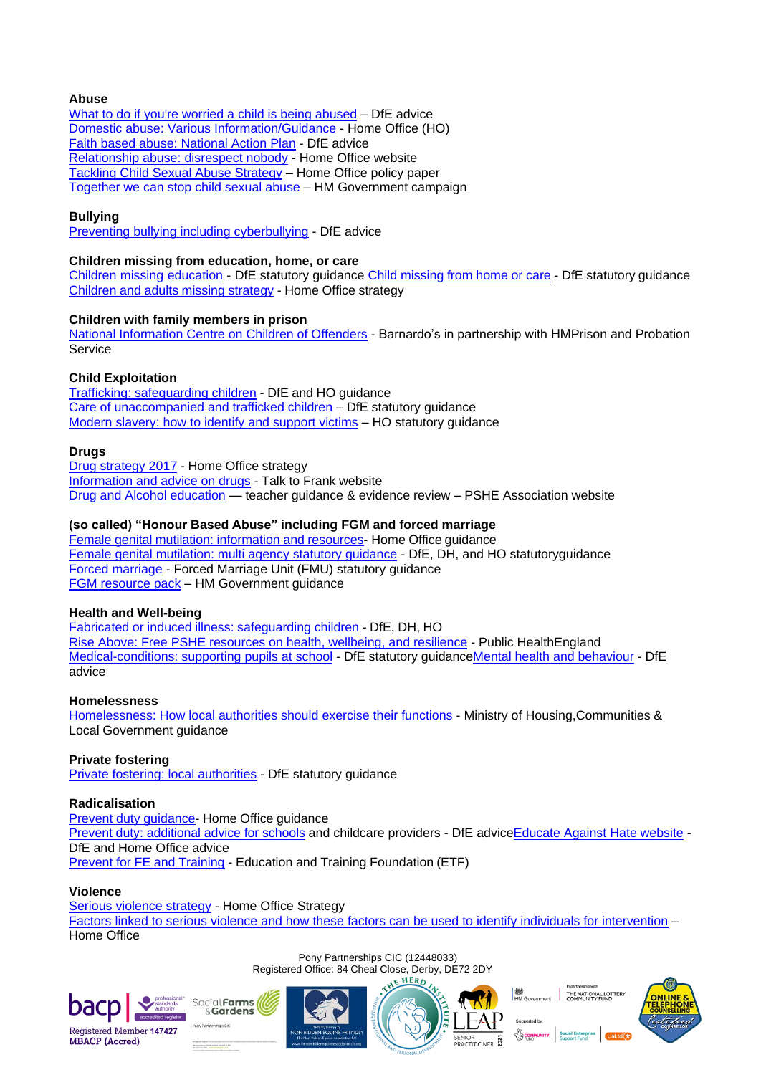## **Abuse**

[What to do if you're worried a child is being abused](https://www.gov.uk/government/publications/what-to-do-if-youre-worried-a-child-is-being-abused--2) – DfE advice Domestic abuse: [Various Information/Guidance](https://www.gov.uk/domestic-violence-and-abuse) - Home Office (HO) [Faith based abuse: National Action Plan](https://www.gov.uk/government/publications/national-action-plan-to-tackle-child-abuse-linked-to-faith-or-belief) - DfE advice [Relationship abuse: disrespect nobody](https://www.disrespectnobody.co.uk/relationship-abuse/what-is-relationship-abuse/) - Home Office website [Tackling Child Sexual Abuse Strategy](https://www.gov.uk/government/publications/tackling-child-sexual-abuse-strategy) – Home Office policy paper [Together we can stop child sexual abuse](https://stopabusetogether.campaign.gov.uk/) – HM Government campaign

## **Bullying**

Preventing bullying including cyberbullying - DfE advice

## **Children missing from education, home, or care**

Children missing [education](https://www.gov.uk/government/publications/children-missing-education) - DfE statutory guidance Child [missing](https://www.gov.uk/government/publications/children-who-run-away-or-go-missing-from-home-or-care) from home or care - DfE statutory guidance [Children](https://www.gov.uk/government/publications/missing-children-and-adults-strategy) and adults missing strategy - Home Office strategy

## **Children with family members in prison**

[National Information Centre on Children of Offenders](https://www.nicco.org.uk/) - Barnardo's in partnership with HMPrison and Probation Service

## **Child Exploitation**

Trafficking: [safeguarding](https://www.gov.uk/government/publications/safeguarding-children-who-may-have-been-trafficked-practice-guidance) children - DfE and HO guidance [Care of unaccompanied and trafficked children](https://www.gov.uk/government/publications/care-of-unaccompanied-and-trafficked-children) - DfE statutory guidance [Modern slavery: how to identify and support victims](https://www.gov.uk/government/publications/modern-slavery-how-to-identify-and-support-victims) - HO statutory guidance

## **Drugs**

Drug [strategy](https://www.gov.uk/government/publications/drug-strategy-2017) 2017 - Home Office strategy [Information](http://www.talktofrank.com/) and advice on drugs - Talk to Frank website [Drug and Alcohol education](https://www.pshe-association.org.uk/curriculum-and-resources/resources/drug-and-alcohol-education-%E2%80%94-teacher-guidance) — teacher guidance & evidence review – PSHE Association website

## **(so called) "Honour Based Abuse" including FGM and forced marriage**

Female genital mutilation: [information](https://www.gov.uk/government/collections/female-genital-mutilation) and resources- Home Office guidance [Female genital mutilation: multi agency statutory guidance](https://www.gov.uk/government/publications/multi-agency-statutory-guidance-on-female-genital-mutilation) - DfE, DH, and HO statutoryguidance [Forced marriage](https://www.gov.uk/guidance/forced-marriage) - Forced Marriage Unit (FMU) statutory guidance [FGM resource pack](https://www.gov.uk/government/publications/female-genital-mutilation-resource-pack) – HM Government guidance

## **Health and Well-being**

Fabricated or induced illness: [safeguarding](https://www.gov.uk/government/publications/safeguarding-children-in-whom-illness-is-fabricated-or-induced) children - DfE, DH, HO [Rise Above: Free PSHE resources on health, wellbeing,](https://www.pshe-association.org.uk/curriculum-and-resources/resources/rise-above-schools-teaching-resources) and resilience - Public HealthEngland [Medical-conditions: supporting pupils at school](https://www.gov.uk/government/publications/supporting-pupils-at-school-with-medical-conditions--3) - DfE statutory guidanceMental [health and](https://www.gov.uk/government/publications/mental-health-and-behaviour-in-schools--2) behaviour - DfE advice

## **Homelessness**

[Homelessness: How local authorities should exercise their functions](https://www.gov.uk/guidance/homelessness-code-of-guidance-for-local-authorities) - Ministry of Housing,Communities & Local Government guidance

## **Private fostering**

[Private fostering: local authorities](https://www.gov.uk/government/publications/children-act-1989-private-fostering) - DfE statutory guidance

## **Radicalisation**

Prevent duty [guidance-](https://www.gov.uk/government/publications/prevent-duty-guidance) Home Office guidance [Prevent duty: additional advice for schools](https://www.gov.uk/government/publications/protecting-children-from-radicalisation-the-prevent-duty) and childcare providers - DfE adviceEducate [Against Hate](http://educateagainsthate.com/) website -DfE and Home Office advice Prevent for FE and [Training](http://preventforfeandtraining.org.uk/) - Education and Training Foundation (ETF)

## **Violence**

[Serious violence strategy](https://www.gov.uk/government/publications/serious-violence-strategy) - Home Office Strategy [Factors linked to serious violence and how these factors can be used to identify individuals for intervention](https://assets.publishing.service.gov.uk/government/uploads/system/uploads/attachment_data/file/819840/analysis-of-indicators-of-serious-violence-horr110.pdf) – Home Office

> Pony Partnerships CIC (12448033) Registered Office: 84 Cheal Close, Derby, DE72 2DY









※<br>HM Government COMMUNITY FUND

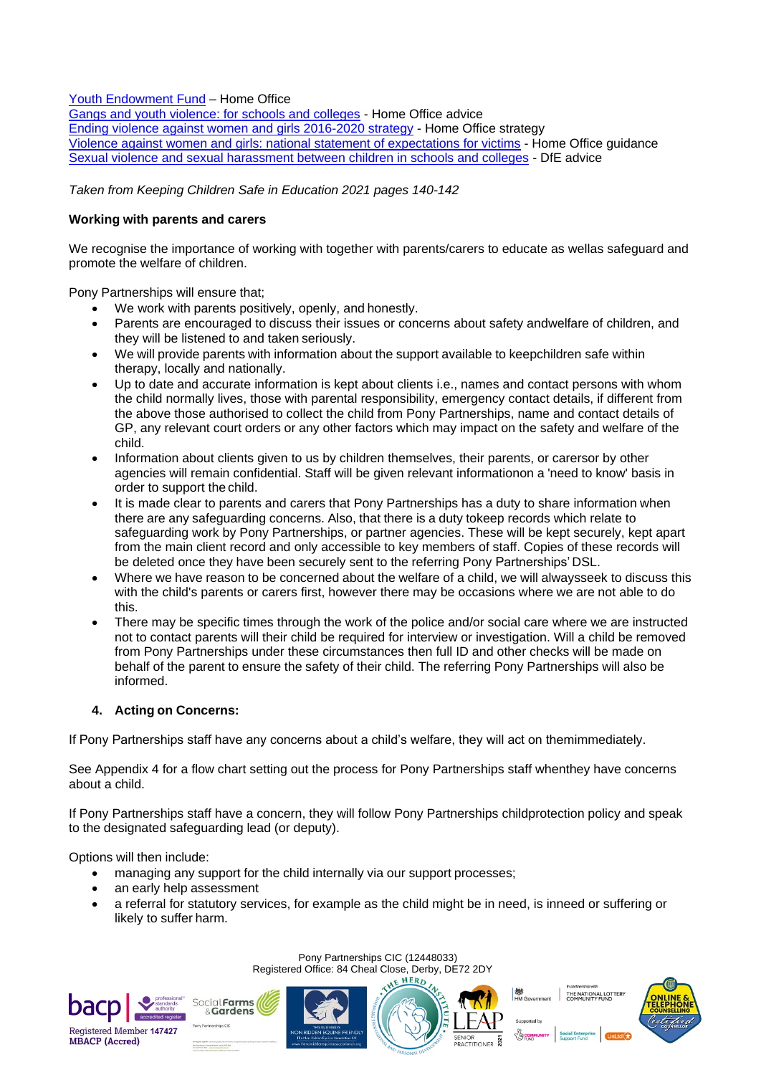## [Youth Endowment Fund](https://gbr01.safelinks.protection.outlook.com/?url=https%3A%2F%2Fyouthendowmentfund.org.uk%2Fevidence%2F&data=04%7C01%7CSamantha.Darby1%40homeoffice.gov.uk%7Cf89f6e20a7544de96d8d08d8f510d412%7Cf24d93ecb2914192a08af182245945c2%7C0%7C0%7C637528799908291340%7CUnknown%7CTWFpbGZsb3d8eyJWIjoiMC4wLjAwMDAiLCJQIjoiV2luMzIiLCJBTiI6Ik1haWwiLCJXVCI6Mn0%3D%7C1000&sdata=eNlkQDbIrP4TBxaYATqfLiC2wM2dfOOYNIAqjKJZcEM%3D&reserved=0) – Home Office

Gangs [and youth violence: for schools and colleges](https://www.gov.uk/government/publications/advice-to-schools-and-colleges-on-gangs-and-youth-violence) - Home Office advice [Ending violence against women and girls 2016-2020 strategy](https://www.gov.uk/government/publications/strategy-to-end-violence-against-women-and-girls-2016-to-2020) - Home Office strategy [Violence against women and girls: national statement of expectations for victims](https://www.gov.uk/government/publications/violence-against-women-and-girls-national-statement-of-expectations) - Home Office guidance [Sexual violence and sexual harassment between children in schools and colleges](https://www.gov.uk/government/publications/sexual-violence-and-sexual-harassment-between-children-in-schools-and-colleges) - DfE advice

*Taken from Keeping Children Safe in Education 2021 pages 140-142*

#### **Working with parents and carers**

We recognise the importance of working with together with parents/carers to educate as wellas safeguard and promote the welfare of children.

Pony Partnerships will ensure that;

- We work with parents positively, openly, and honestly.
- Parents are encouraged to discuss their issues or concerns about safety andwelfare of children, and they will be listened to and taken seriously.
- We will provide parents with information about the support available to keepchildren safe within therapy, locally and nationally.
- Up to date and accurate information is kept about clients i.e., names and contact persons with whom the child normally lives, those with parental responsibility, emergency contact details, if different from the above those authorised to collect the child from Pony Partnerships, name and contact details of GP, any relevant court orders or any other factors which may impact on the safety and welfare of the child.
- Information about clients given to us by children themselves, their parents, or carersor by other agencies will remain confidential. Staff will be given relevant informationon a 'need to know' basis in order to support the child.
- It is made clear to parents and carers that Pony Partnerships has a duty to share information when there are any safeguarding concerns. Also, that there is a duty tokeep records which relate to safeguarding work by Pony Partnerships, or partner agencies. These will be kept securely, kept apart from the main client record and only accessible to key members of staff. Copies of these records will be deleted once they have been securely sent to the referring Pony Partnerships' DSL.
- Where we have reason to be concerned about the welfare of a child, we will alwaysseek to discuss this with the child's parents or carers first, however there may be occasions where we are not able to do this.
- There may be specific times through the work of the police and/or social care where we are instructed not to contact parents will their child be required for interview or investigation. Will a child be removed from Pony Partnerships under these circumstances then full ID and other checks will be made on behalf of the parent to ensure the safety of their child. The referring Pony Partnerships will also be informed.

## **4. Acting on Concerns:**

If Pony Partnerships staff have any concerns about a child's welfare, they will act on themimmediately.

See Appendix 4 for a flow chart setting out the process for Pony Partnerships staff whenthey have concerns about a child.

If Pony Partnerships staff have a concern, they will follow Pony Partnerships childprotection policy and speak to the designated safeguarding lead (or deputy).

Options will then include:

- managing any support for the child internally via our support processes;
- an early help assessment

al Farms

& Gardens

• a referral for statutory services, for example as the child might be in need, is inneed or suffering or likely to suffer harm.







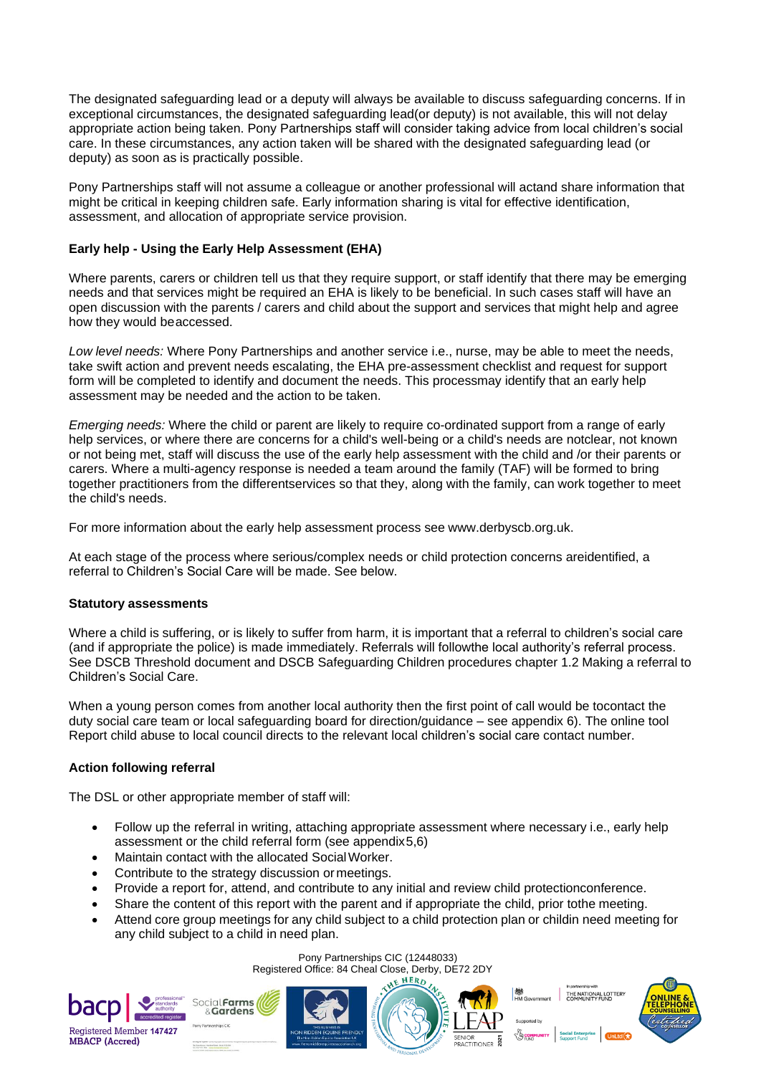The designated safeguarding lead or a deputy will always be available to discuss safeguarding concerns. If in exceptional circumstances, the designated safeguarding lead(or deputy) is not available, this will not delay appropriate action being taken. Pony Partnerships staff will consider taking advice from local children's social care. In these circumstances, any action taken will be shared with the designated safeguarding lead (or deputy) as soon as is practically possible.

Pony Partnerships staff will not assume a colleague or another professional will actand share information that might be critical in keeping children safe. Early information sharing is vital for effective identification, assessment, and allocation of appropriate service provision.

## **Early help - Using the Early Help Assessment (EHA)**

Where parents, carers or children tell us that they require support, or staff identify that there may be emerging needs and that services might be required an EHA is likely to be beneficial. In such cases staff will have an open discussion with the parents / carers and child about the support and services that might help and agree how they would beaccessed.

*Low level needs:* Where Pony Partnerships and another service i.e., nurse, may be able to meet the needs, take swift action and prevent needs escalating, the EHA pre-assessment checklist and request for support form will be completed to identify and document the needs. This processmay identify that an early help assessment may be needed and the action to be taken.

*Emerging needs:* Where the child or parent are likely to require co-ordinated support from a range of early help services, or where there are concerns for a child's well-being or a child's needs are notclear, not known or not being met, staff will discuss the use of the early help assessment with the child and /or their parents or carers. Where a multi-agency response is needed a team around the family (TAF) will be formed to bring together practitioners from the differentservices so that they, along with the family, can work together to meet the child's needs.

For more information about the early help assessment process see [www.derbyscb.org.uk.](http://www.derbyscb.org.uk/)

At each stage of the process where serious/complex needs or child protection concerns areidentified, a referral to Children's Social Care will be made. See below.

## **Statutory assessments**

Where a child is suffering, or is likely to suffer from harm, it is important that a referral to children's social care (and if appropriate the police) is made immediately. Referrals will followthe local authority's referral process. See DSCB Threshold document and DSCB Safeguarding Children procedures chapter 1.2 Making a referral to Children's Social Care.

When a young person comes from another local authority then the first point of call would be tocontact the duty social care team or local safeguarding board for direction/guidance – see appendix 6). The online tool Report child abuse to local council directs to the relevant local children's social care contact number.

## **Action following referral**

The DSL or other appropriate member of staff will:

- Follow up the referral in writing, attaching appropriate assessment where necessary i.e., early help assessment or the child referral form (see appendix5,6)
- Maintain contact with the allocated SocialWorker.
- Contribute to the strategy discussion or meetings.
- Provide a report for, attend, and contribute to any initial and review child protectionconference.
- Share the content of this report with the parent and if appropriate the child, prior tothe meeting.
- Attend core group meetings for any child subject to a child protection plan or childin need meeting for any child subject to a child in need plan.











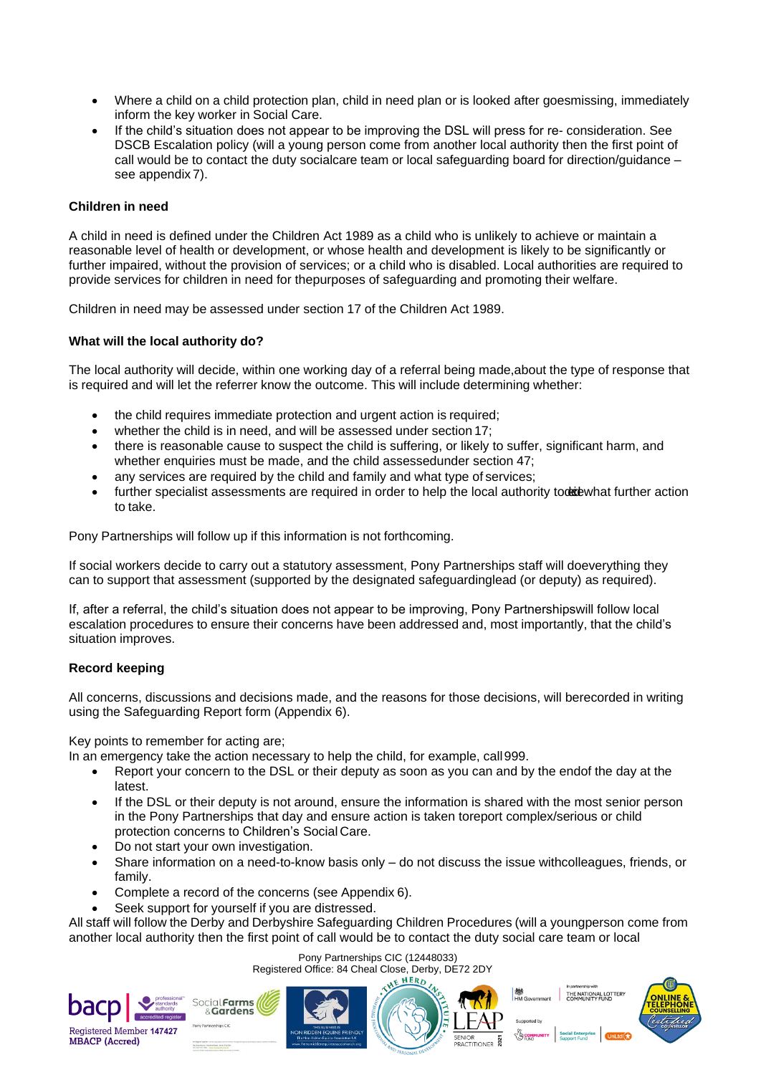- Where a child on a child protection plan, child in need plan or is looked after goesmissing, immediately inform the key worker in Social Care.
- If the child's situation does not appear to be improving the DSL will press for re- consideration. See DSCB Escalation policy (will a young person come from another local authority then the first point of call would be to contact the duty socialcare team or local safeguarding board for direction/guidance – see appendix 7).

#### **Children in need**

A child in need is defined under the Children Act 1989 as a child who is unlikely to achieve or maintain a reasonable level of health or development, or whose health and development is likely to be significantly or further impaired, without the provision of services; or a child who is disabled. Local authorities are required to provide services for children in need for thepurposes of safeguarding and promoting their welfare.

Children in need may be assessed under section 17 of the Children Act 1989.

#### **What will the local authority do?**

The local authority will decide, within one working day of a referral being made,about the type of response that is required and will let the referrer know the outcome. This will include determining whether:

- the child requires immediate protection and urgent action is required;
- whether the child is in need, and will be assessed under section 17;
- there is reasonable cause to suspect the child is suffering, or likely to suffer, significant harm, and whether enquiries must be made, and the child assessedunder section 47;
- any services are required by the child and family and what type of services;
- further specialist assessments are required in order to help the local authority tod the further action to take.

Pony Partnerships will follow up if this information is not forthcoming.

If social workers decide to carry out a statutory assessment, Pony Partnerships staff will doeverything they can to support that assessment (supported by the designated safeguardinglead (or deputy) as required).

If, after a referral, the child's situation does not appear to be improving, Pony Partnershipswill follow local escalation procedures to ensure their concerns have been addressed and, most importantly, that the child's situation improves.

#### **Record keeping**

All concerns, discussions and decisions made, and the reasons for those decisions, will berecorded in writing using the Safeguarding Report form (Appendix 6).

Key points to remember for acting are;

In an emergency take the action necessary to help the child, for example, call999.

- Report your concern to the DSL or their deputy as soon as you can and by the endof the day at the latest.
- If the DSL or their deputy is not around, ensure the information is shared with the most senior person in the Pony Partnerships that day and ensure action is taken toreport complex/serious or child protection concerns to Children's Social Care.
- Do not start your own investigation.
- Share information on a need-to-know basis only do not discuss the issue withcolleagues, friends, or family.
- Complete a record of the concerns (see Appendix 6).
- Seek support for yourself if you are distressed.

All staff will follow the Derby and Derbyshire Safeguarding Children Procedures (will a youngperson come from another local authority then the first point of call would be to contact the duty social care team or local









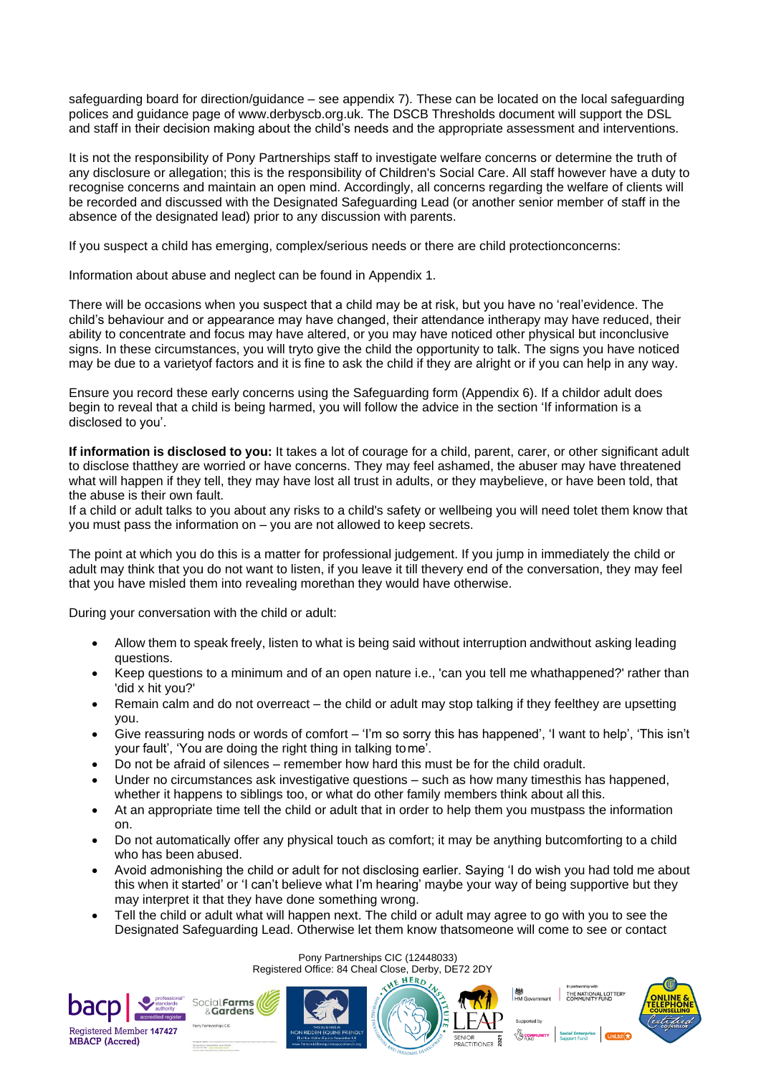safeguarding board for direction/guidance – see appendix 7). These can be located on the local safeguarding polices and guidance page of [www.derbyscb.org.uk. T](http://www.derbyscb.org.uk/)he DSCB Thresholds document will support the DSL and staff in their decision making about the child's needs and the appropriate assessment and interventions.

It is not the responsibility of Pony Partnerships staff to investigate welfare concerns or determine the truth of any disclosure or allegation; this is the responsibility of Children's Social Care. All staff however have a duty to recognise concerns and maintain an open mind. Accordingly, all concerns regarding the welfare of clients will be recorded and discussed with the Designated Safeguarding Lead (or another senior member of staff in the absence of the designated lead) prior to any discussion with parents.

If you suspect a child has emerging, complex/serious needs or there are child protectionconcerns:

Information about abuse and neglect can be found in Appendix 1.

There will be occasions when you suspect that a child may be at risk, but you have no 'real'evidence. The child's behaviour and or appearance may have changed, their attendance intherapy may have reduced, their ability to concentrate and focus may have altered, or you may have noticed other physical but inconclusive signs. In these circumstances, you will tryto give the child the opportunity to talk. The signs you have noticed may be due to a varietyof factors and it is fine to ask the child if they are alright or if you can help in any way.

Ensure you record these early concerns using the Safeguarding form (Appendix 6). If a childor adult does begin to reveal that a child is being harmed, you will follow the advice in the section 'If information is a disclosed to you'.

**If information is disclosed to you:** It takes a lot of courage for a child, parent, carer, or other significant adult to disclose thatthey are worried or have concerns. They may feel ashamed, the abuser may have threatened what will happen if they tell, they may have lost all trust in adults, or they maybelieve, or have been told, that the abuse is their own fault.

If a child or adult talks to you about any risks to a child's safety or wellbeing you will need tolet them know that you must pass the information on – you are not allowed to keep secrets.

The point at which you do this is a matter for professional judgement. If you jump in immediately the child or adult may think that you do not want to listen, if you leave it till thevery end of the conversation, they may feel that you have misled them into revealing morethan they would have otherwise.

During your conversation with the child or adult:

- Allow them to speak freely, listen to what is being said without interruption andwithout asking leading questions.
- Keep questions to a minimum and of an open nature i.e., 'can you tell me whathappened?' rather than 'did x hit you?'
- Remain calm and do not overreact the child or adult may stop talking if they feelthey are upsetting you.
- Give reassuring nods or words of comfort 'I'm so sorry this has happened', 'I want to help', 'This isn't your fault', 'You are doing the right thing in talking tome'.
- Do not be afraid of silences remember how hard this must be for the child oradult.
- Under no circumstances ask investigative questions such as how many timesthis has happened, whether it happens to siblings too, or what do other family members think about all this.
- At an appropriate time tell the child or adult that in order to help them you mustpass the information on.
- Do not automatically offer any physical touch as comfort; it may be anything butcomforting to a child who has been abused.
- Avoid admonishing the child or adult for not disclosing earlier. Saying 'I do wish you had told me about this when it started' or 'I can't believe what I'm hearing' maybe your way of being supportive but they may interpret it that they have done something wrong.
- Tell the child or adult what will happen next. The child or adult may agree to go with you to see the Designated Safeguarding Lead. Otherwise let them know thatsomeone will come to see or contact









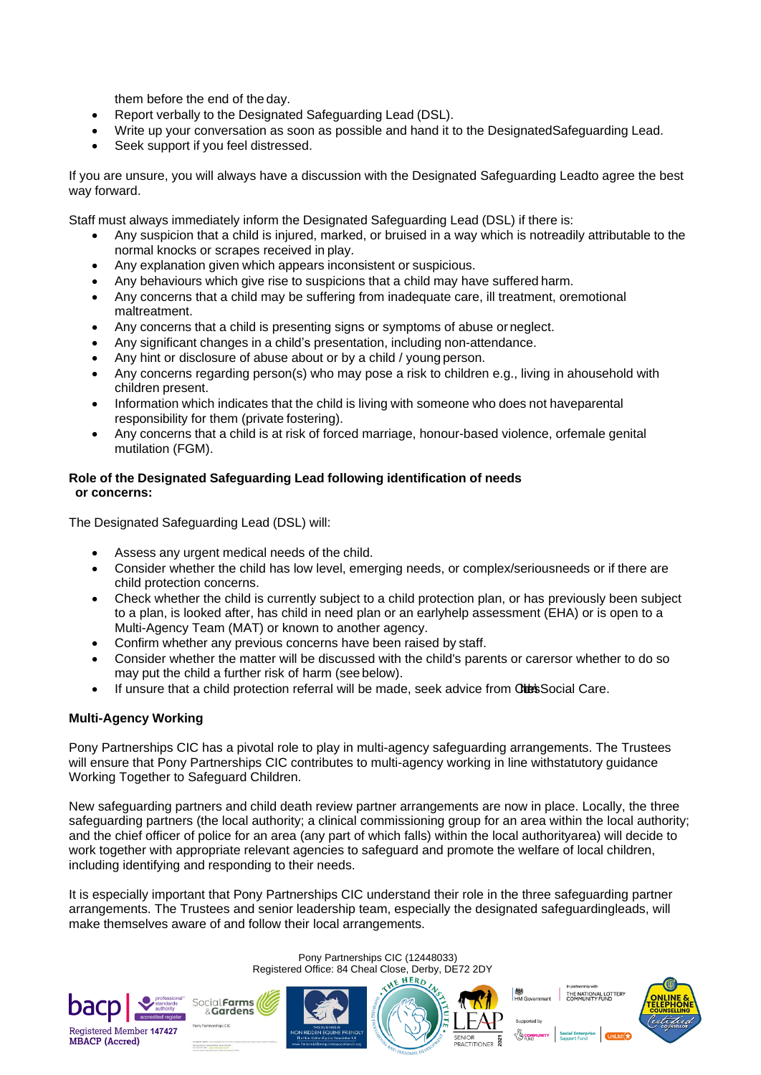them before the end of the day.

- Report verbally to the Designated Safeguarding Lead (DSL).
- Write up your conversation as soon as possible and hand it to the DesignatedSafeguarding Lead.
- Seek support if you feel distressed.

If you are unsure, you will always have a discussion with the Designated Safeguarding Leadto agree the best way forward.

Staff must always immediately inform the Designated Safeguarding Lead (DSL) if there is:

- Any suspicion that a child is injured, marked, or bruised in a way which is notreadily attributable to the normal knocks or scrapes received in play.
- Any explanation given which appears inconsistent or suspicious.
- Any behaviours which give rise to suspicions that a child may have suffered harm.
- Any concerns that a child may be suffering from inadequate care, ill treatment, oremotional maltreatment.
- Any concerns that a child is presenting signs or symptoms of abuse or neglect.
- Any significant changes in a child's presentation, including non-attendance.
- Any hint or disclosure of abuse about or by a child / young person.
- Any concerns regarding person(s) who may pose a risk to children e.g., living in ahousehold with children present.
- Information which indicates that the child is living with someone who does not haveparental responsibility for them (private fostering).
- Any concerns that a child is at risk of forced marriage, honour-based violence, orfemale genital mutilation (FGM).

#### **Role of the Designated Safeguarding Lead following identification of needs or concerns:**

The Designated Safeguarding Lead (DSL) will:

- Assess any urgent medical needs of the child.
- Consider whether the child has low level, emerging needs, or complex/seriousneeds or if there are child protection concerns.
- Check whether the child is currently subject to a child protection plan, or has previously been subject to a plan, is looked after, has child in need plan or an earlyhelp assessment (EHA) or is open to a Multi-Agency Team (MAT) or known to another agency.
- Confirm whether any previous concerns have been raised by staff.
- Consider whether the matter will be discussed with the child's parents or carersor whether to do so may put the child a further risk of harm (seebelow).
- If unsure that a child protection referral will be made, seek advice from Chines Social Care.

## **Multi-Agency Working**

Pony Partnerships CIC has a pivotal role to play in multi-agency safeguarding arrangements. The Trustees will ensure that Pony Partnerships CIC contributes to multi-agency working in line withstatutory guidance Working Together to Safeguard Children.

New safeguarding partners and child death review partner arrangements are now in place. Locally, the three safeguarding partners (the local authority; a clinical commissioning group for an area within the local authority; and the chief officer of police for an area (any part of which falls) within the local authorityarea) will decide to work together with appropriate relevant agencies to safeguard and promote the welfare of local children, including identifying and responding to their needs.

It is especially important that Pony Partnerships CIC understand their role in the three safeguarding partner arrangements. The Trustees and senior leadership team, especially the designated safeguardingleads, will make themselves aware of and follow their local arrangements.

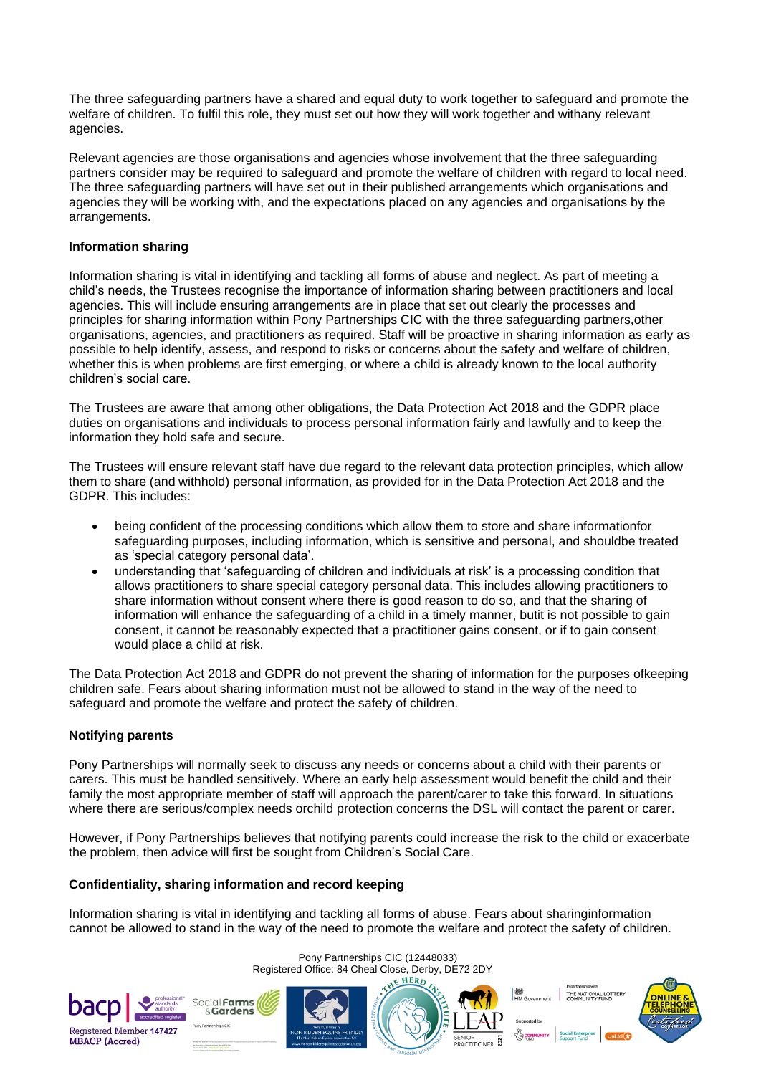The three safeguarding partners have a shared and equal duty to work together to safeguard and promote the welfare of children. To fulfil this role, they must set out how they will work together and withany relevant agencies.

Relevant agencies are those organisations and agencies whose involvement that the three safeguarding partners consider may be required to safeguard and promote the welfare of children with regard to local need. The three safeguarding partners will have set out in their published arrangements which organisations and agencies they will be working with, and the expectations placed on any agencies and organisations by the arrangements.

## **Information sharing**

Information sharing is vital in identifying and tackling all forms of abuse and neglect. As part of meeting a child's needs, the Trustees recognise the importance of information sharing between practitioners and local agencies. This will include ensuring arrangements are in place that set out clearly the processes and principles for sharing information within Pony Partnerships CIC with the three safeguarding partners,other organisations, agencies, and practitioners as required. Staff will be proactive in sharing information as early as possible to help identify, assess, and respond to risks or concerns about the safety and welfare of children, whether this is when problems are first emerging, or where a child is already known to the local authority children's social care.

The Trustees are aware that among other obligations, the Data Protection Act 2018 and the GDPR place duties on organisations and individuals to process personal information fairly and lawfully and to keep the information they hold safe and secure.

The Trustees will ensure relevant staff have due regard to the relevant data protection principles, which allow them to share (and withhold) personal information, as provided for in the Data Protection Act 2018 and the GDPR. This includes:

- being confident of the processing conditions which allow them to store and share informationfor safeguarding purposes, including information, which is sensitive and personal, and shouldbe treated as 'special category personal data'.
- understanding that 'safeguarding of children and individuals at risk' is a processing condition that allows practitioners to share special category personal data. This includes allowing practitioners to share information without consent where there is good reason to do so, and that the sharing of information will enhance the safeguarding of a child in a timely manner, butit is not possible to gain consent, it cannot be reasonably expected that a practitioner gains consent, or if to gain consent would place a child at risk.

The Data Protection Act 2018 and GDPR do not prevent the sharing of information for the purposes ofkeeping children safe. Fears about sharing information must not be allowed to stand in the way of the need to safeguard and promote the welfare and protect the safety of children.

## **Notifying parents**

Dacp

Registered Member 147427 **MBACP** (Accred)

Pony Partnerships will normally seek to discuss any needs or concerns about a child with their parents or carers. This must be handled sensitively. Where an early help assessment would benefit the child and their family the most appropriate member of staff will approach the parent/carer to take this forward. In situations where there are serious/complex needs orchild protection concerns the DSL will contact the parent or carer.

However, if Pony Partnerships believes that notifying parents could increase the risk to the child or exacerbate the problem, then advice will first be sought from Children's Social Care.

## **Confidentiality, sharing information and record keeping**

Information sharing is vital in identifying and tackling all forms of abuse. Fears about sharinginformation cannot be allowed to stand in the way of the need to promote the welfare and protect the safety of children.

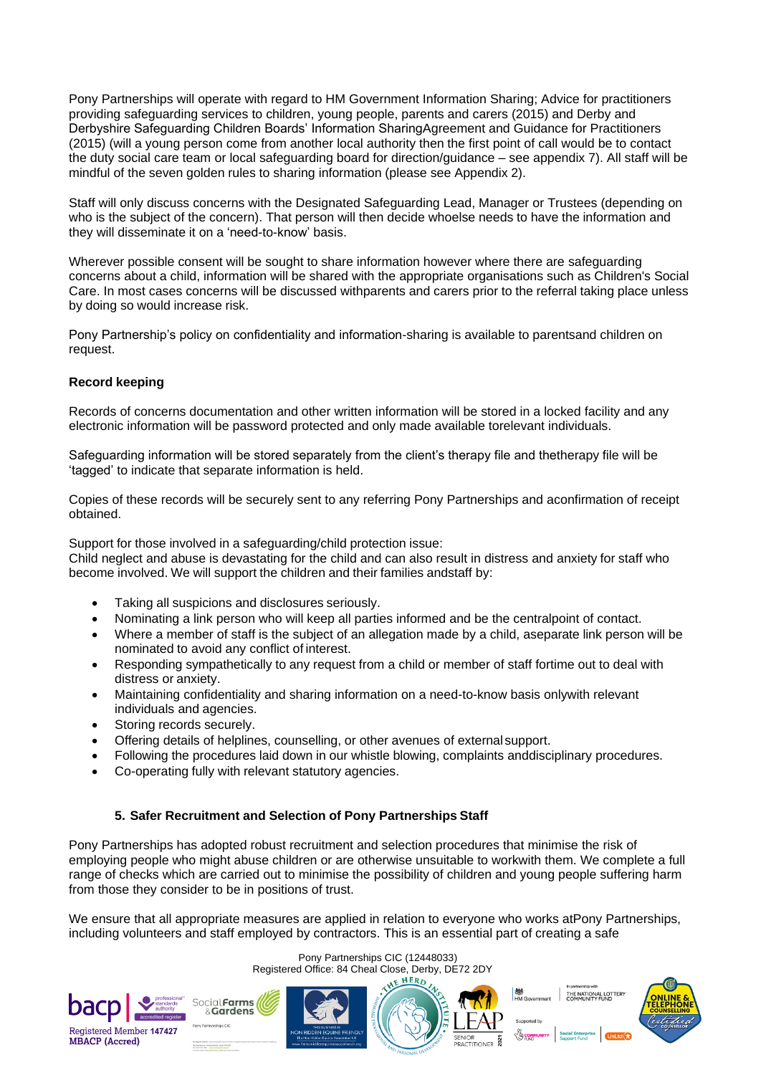Pony Partnerships will operate with regard to HM Government Information Sharing; Advice for practitioners providing safeguarding services to children, young people, parents and carers (2015) and Derby and Derbyshire Safeguarding Children Boards' Information SharingAgreement and Guidance for Practitioners (2015) (will a young person come from another local authority then the first point of call would be to contact the duty social care team or local safeguarding board for direction/guidance – see appendix 7). All staff will be mindful of the seven golden rules to sharing information (please see Appendix 2).

Staff will only discuss concerns with the Designated Safeguarding Lead, Manager or Trustees (depending on who is the subject of the concern). That person will then decide whoelse needs to have the information and they will disseminate it on a 'need-to-know' basis.

Wherever possible consent will be sought to share information however where there are safeguarding concerns about a child, information will be shared with the appropriate organisations such as Children's Social Care. In most cases concerns will be discussed withparents and carers prior to the referral taking place unless by doing so would increase risk.

Pony Partnership's policy on confidentiality and information-sharing is available to parentsand children on request.

## **Record keeping**

Records of concerns documentation and other written information will be stored in a locked facility and any electronic information will be password protected and only made available torelevant individuals.

Safeguarding information will be stored separately from the client's therapy file and thetherapy file will be 'tagged' to indicate that separate information is held.

Copies of these records will be securely sent to any referring Pony Partnerships and aconfirmation of receipt obtained.

Support for those involved in a safeguarding/child protection issue:

Child neglect and abuse is devastating for the child and can also result in distress and anxiety for staff who become involved. We will support the children and their families andstaff by:

- Taking all suspicions and disclosures seriously.
- Nominating a link person who will keep all parties informed and be the centralpoint of contact.
- Where a member of staff is the subject of an allegation made by a child, aseparate link person will be nominated to avoid any conflict of interest.
- Responding sympathetically to any request from a child or member of staff fortime out to deal with distress or anxiety.
- Maintaining confidentiality and sharing information on a need-to-know basis onlywith relevant individuals and agencies.
- Storing records securely.
- Offering details of helplines, counselling, or other avenues of external support.
- Following the procedures laid down in our whistle blowing, complaints anddisciplinary procedures.
- Co-operating fully with relevant statutory agencies.

## **5. Safer Recruitment and Selection of Pony Partnerships Staff**

Pony Partnerships has adopted robust recruitment and selection procedures that minimise the risk of employing people who might abuse children or are otherwise unsuitable to workwith them. We complete a full range of checks which are carried out to minimise the possibility of children and young people suffering harm from those they consider to be in positions of trust.

We ensure that all appropriate measures are applied in relation to everyone who works atPony Partnerships, including volunteers and staff employed by contractors. This is an essential part of creating a safe

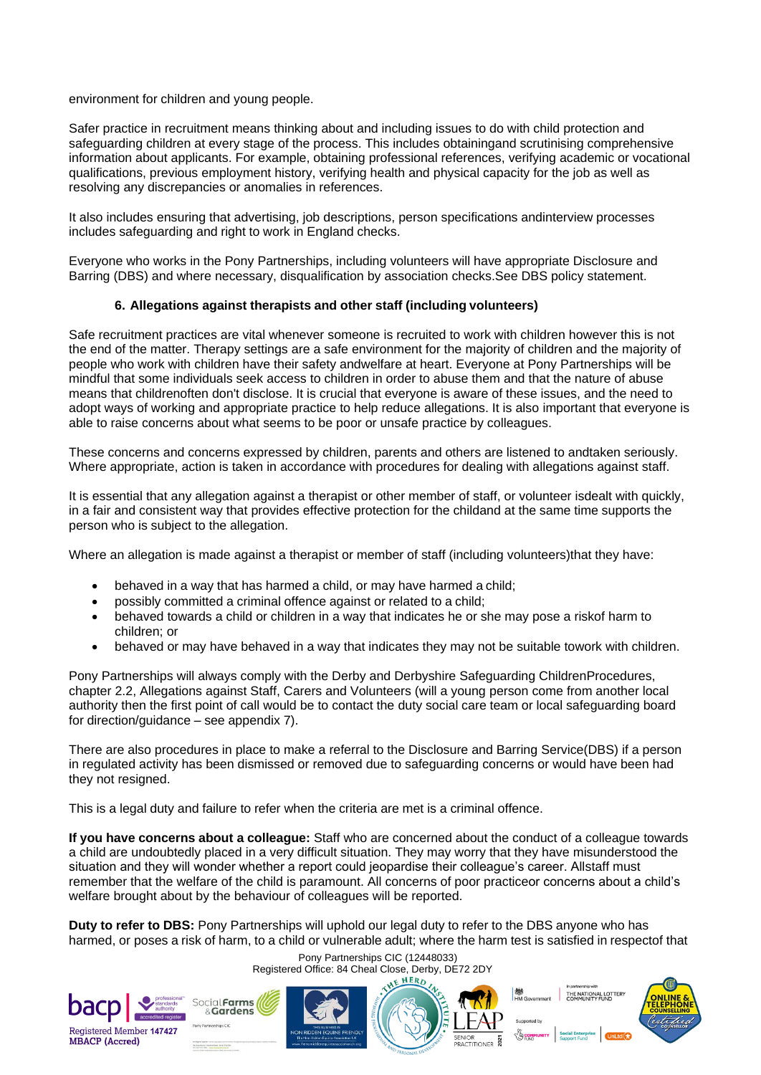environment for children and young people.

Safer practice in recruitment means thinking about and including issues to do with child protection and safeguarding children at every stage of the process. This includes obtainingand scrutinising comprehensive information about applicants. For example, obtaining professional references, verifying academic or vocational qualifications, previous employment history, verifying health and physical capacity for the job as well as resolving any discrepancies or anomalies in references.

It also includes ensuring that advertising, job descriptions, person specifications andinterview processes includes safeguarding and right to work in England checks.

Everyone who works in the Pony Partnerships, including volunteers will have appropriate Disclosure and Barring (DBS) and where necessary, disqualification by association checks.See DBS policy statement.

## **6. Allegations against therapists and other staff (including volunteers)**

Safe recruitment practices are vital whenever someone is recruited to work with children however this is not the end of the matter. Therapy settings are a safe environment for the majority of children and the majority of people who work with children have their safety andwelfare at heart. Everyone at Pony Partnerships will be mindful that some individuals seek access to children in order to abuse them and that the nature of abuse means that childrenoften don't disclose. It is crucial that everyone is aware of these issues, and the need to adopt ways of working and appropriate practice to help reduce allegations. It is also important that everyone is able to raise concerns about what seems to be poor or unsafe practice by colleagues.

These concerns and concerns expressed by children, parents and others are listened to andtaken seriously. Where appropriate, action is taken in accordance with procedures for dealing with allegations against staff.

It is essential that any allegation against a therapist or other member of staff, or volunteer isdealt with quickly, in a fair and consistent way that provides effective protection for the childand at the same time supports the person who is subject to the allegation.

Where an allegation is made against a therapist or member of staff (including volunteers)that they have:

- behaved in a way that has harmed a child, or may have harmed a child;
- possibly committed a criminal offence against or related to a child;
- behaved towards a child or children in a way that indicates he or she may pose a riskof harm to children; or
- behaved or may have behaved in a way that indicates they may not be suitable towork with children.

Pony Partnerships will always comply with the Derby and Derbyshire Safeguarding ChildrenProcedures, chapter 2.2, Allegations against Staff, Carers and Volunteers (will a young person come from another local authority then the first point of call would be to contact the duty social care team or local safeguarding board for direction/guidance – see appendix 7).

There are also procedures in place to make a referral to the Disclosure and Barring Service(DBS) if a person in regulated activity has been dismissed or removed due to safeguarding concerns or would have been had they not resigned.

This is a legal duty and failure to refer when the criteria are met is a criminal offence.

**If you have concerns about a colleague:** Staff who are concerned about the conduct of a colleague towards a child are undoubtedly placed in a very difficult situation. They may worry that they have misunderstood the situation and they will wonder whether a report could jeopardise their colleague's career. Allstaff must remember that the welfare of the child is paramount. All concerns of poor practiceor concerns about a child's welfare brought about by the behaviour of colleagues will be reported.

**Duty to refer to DBS:** Pony Partnerships will uphold our legal duty to refer to the DBS anyone who has harmed, or poses a risk of harm, to a child or vulnerable adult; where the harm test is satisfied in respectof that

Pony Partnerships CIC (12448033)

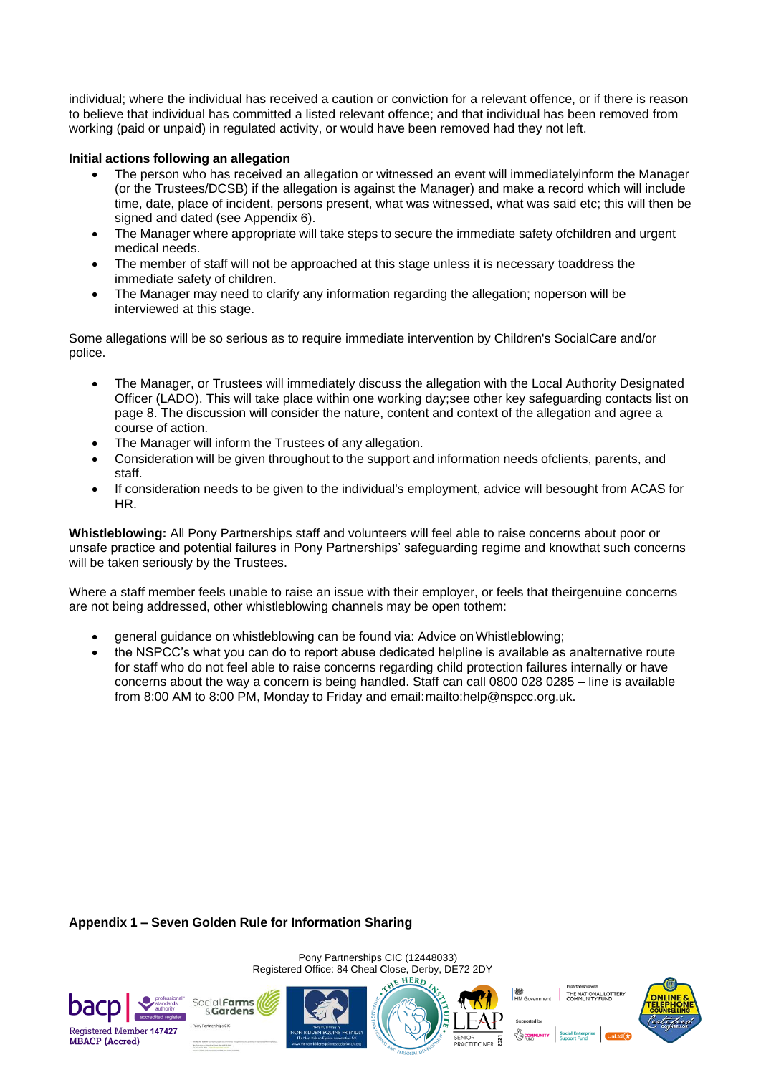individual; where the individual has received a caution or conviction for a relevant offence, or if there is reason to believe that individual has committed a listed relevant offence; and that individual has been removed from working (paid or unpaid) in regulated activity, or would have been removed had they not left.

#### **Initial actions following an allegation**

- The person who has received an allegation or witnessed an event will immediatelyinform the Manager (or the Trustees/DCSB) if the allegation is against the Manager) and make a record which will include time, date, place of incident, persons present, what was witnessed, what was said etc; this will then be signed and dated (see Appendix 6).
- The Manager where appropriate will take steps to secure the immediate safety ofchildren and urgent medical needs.
- The member of staff will not be approached at this stage unless it is necessary toaddress the immediate safety of children.
- The Manager may need to clarify any information regarding the allegation; noperson will be interviewed at this stage.

Some allegations will be so serious as to require immediate intervention by Children's SocialCare and/or police.

- The Manager, or Trustees will immediately discuss the allegation with the Local Authority Designated Officer (LADO). This will take place within one working day;see other key safeguarding contacts list on page 8. The discussion will consider the nature, content and context of the allegation and agree a course of action.
- The Manager will inform the Trustees of any allegation.
- Consideration will be given throughout to the support and information needs ofclients, parents, and staff.
- If consideration needs to be given to the individual's employment, advice will besought from ACAS for HR.

**Whistleblowing:** All Pony Partnerships staff and volunteers will feel able to raise concerns about poor or unsafe practice and potential failures in Pony Partnerships' safeguarding regime and knowthat such concerns will be taken seriously by the Trustees.

Where a staff member feels unable to raise an issue with their employer, or feels that theirgenuine concerns are not being addressed, other whistleblowing channels may be open tothem:

- general guidance on whistleblowing can be found via: Advice onWhistleblowing;
- the NSPCC's what you can do to report abuse dedicated helpline is available as analternative route for staff who do not feel able to raise concerns regarding child protection failures internally or have concerns about the way a concern is being handled. Staff can call 0800 028 0285 – line is available from 8:00 AM to 8:00 PM, Monday to Friday and email[:mailto:help@nspcc.org.uk.](mailto:help@nspcc.org.uk)

## **Appendix 1 – Seven Golden Rule for Information Sharing**

Dacc

Registered Member 147427 **MBACP** (Accred)





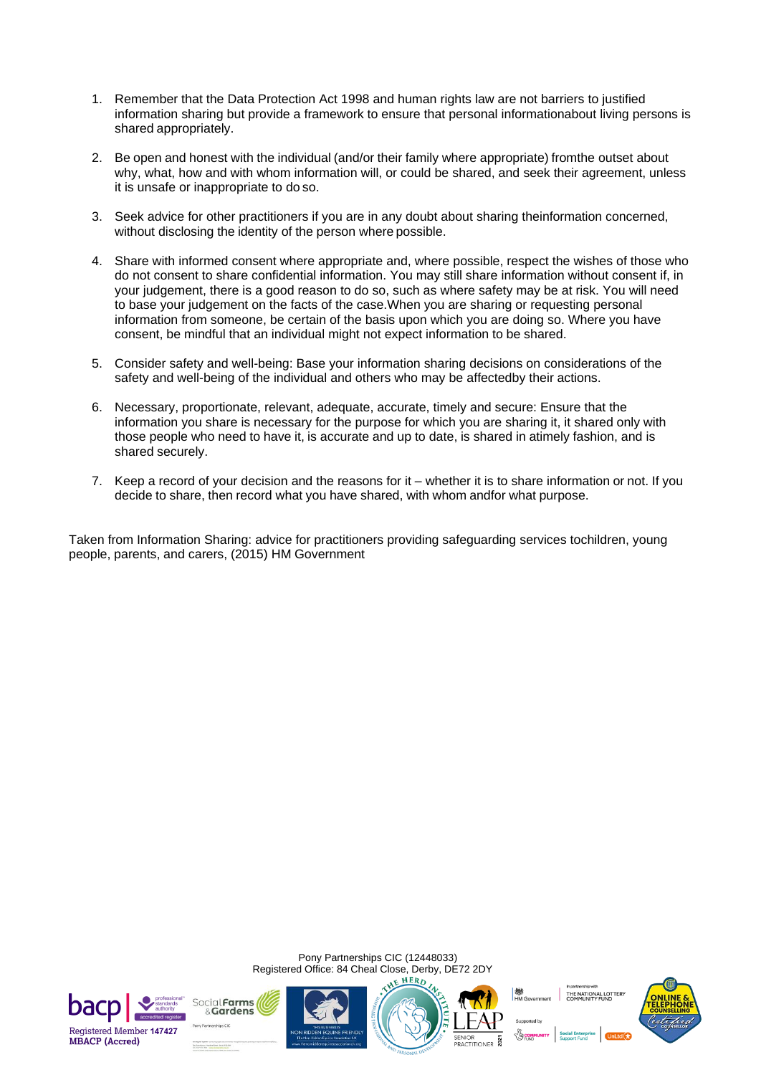- 1. Remember that the Data Protection Act 1998 and human rights law are not barriers to justified information sharing but provide a framework to ensure that personal informationabout living persons is shared appropriately.
- 2. Be open and honest with the individual (and/or their family where appropriate) fromthe outset about why, what, how and with whom information will, or could be shared, and seek their agreement, unless it is unsafe or inappropriate to do so.
- 3. Seek advice for other practitioners if you are in any doubt about sharing theinformation concerned, without disclosing the identity of the person where possible.
- 4. Share with informed consent where appropriate and, where possible, respect the wishes of those who do not consent to share confidential information. You may still share information without consent if, in your judgement, there is a good reason to do so, such as where safety may be at risk. You will need to base your judgement on the facts of the case.When you are sharing or requesting personal information from someone, be certain of the basis upon which you are doing so. Where you have consent, be mindful that an individual might not expect information to be shared.
- 5. Consider safety and well-being: Base your information sharing decisions on considerations of the safety and well-being of the individual and others who may be affectedby their actions.
- 6. Necessary, proportionate, relevant, adequate, accurate, timely and secure: Ensure that the information you share is necessary for the purpose for which you are sharing it, it shared only with those people who need to have it, is accurate and up to date, is shared in atimely fashion, and is shared securely.
- 7. Keep a record of your decision and the reasons for it whether it is to share information or not. If you decide to share, then record what you have shared, with whom andfor what purpose.

Taken from Information Sharing: advice for practitioners providing safeguarding services tochildren, young people, parents, and carers, (2015) HM Government

Registered Member 147427 **MBACP** (Accred)





Pony Partnerships CIC (12448033)





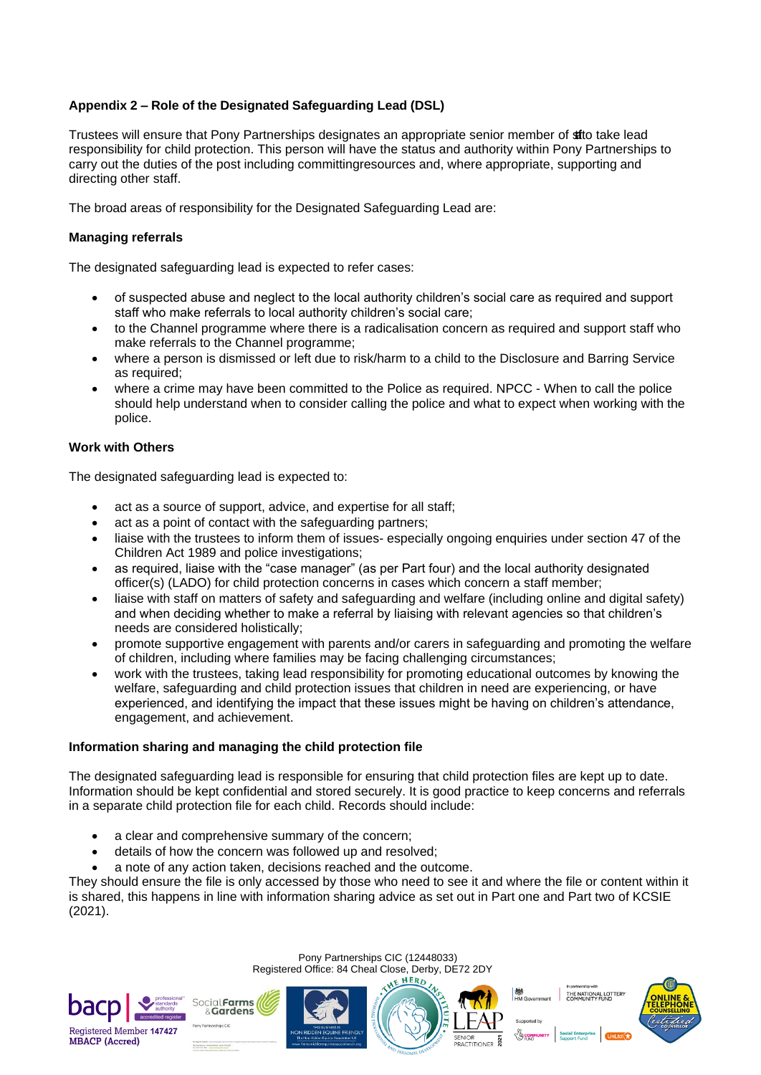# **Appendix 2 – Role of the Designated Safeguarding Lead (DSL)**

Trustees will ensure that Pony Partnerships designates an appropriate senior member of stito take lead responsibility for child protection. This person will have the status and authority within Pony Partnerships to carry out the duties of the post including committingresources and, where appropriate, supporting and directing other staff.

The broad areas of responsibility for the Designated Safeguarding Lead are:

## **Managing referrals**

The designated safeguarding lead is expected to refer cases:

- of suspected abuse and neglect to the local authority children's social care as required and support staff who make referrals to local authority children's social care;
- to the Channel programme where there is a radicalisation concern as required and support staff who make referrals to the Channel programme;
- where a person is dismissed or left due to risk/harm to a child to the Disclosure and Barring Service as required;
- where a crime may have been committed to the Police as required. NPCC When to call the police should help understand when to consider calling the police and what to expect when working with the police.

## **Work with Others**

The designated safeguarding lead is expected to:

- act as a source of support, advice, and expertise for all staff;
- act as a point of contact with the safeguarding partners;
- liaise with the trustees to inform them of issues- especially ongoing enquiries under section 47 of the Children Act 1989 and police investigations;
- as required, liaise with the "case manager" (as per Part four) and the local authority designated officer(s) (LADO) for child protection concerns in cases which concern a staff member;
- liaise with staff on matters of safety and safeguarding and welfare (including online and digital safety) and when deciding whether to make a referral by liaising with relevant agencies so that children's needs are considered holistically;
- promote supportive engagement with parents and/or carers in safeguarding and promoting the welfare of children, including where families may be facing challenging circumstances;
- work with the trustees, taking lead responsibility for promoting educational outcomes by knowing the welfare, safeguarding and child protection issues that children in need are experiencing, or have experienced, and identifying the impact that these issues might be having on children's attendance, engagement, and achievement.

## **Information sharing and managing the child protection file**

The designated safeguarding lead is responsible for ensuring that child protection files are kept up to date. Information should be kept confidential and stored securely. It is good practice to keep concerns and referrals in a separate child protection file for each child. Records should include:

a clear and comprehensive summary of the concern;

al Farms

& Gardens

- details of how the concern was followed up and resolved;
- a note of any action taken, decisions reached and the outcome.

They should ensure the file is only accessed by those who need to see it and where the file or content within it is shared, this happens in line with information sharing advice as set out in Part one and Part two of KCSIE (2021).







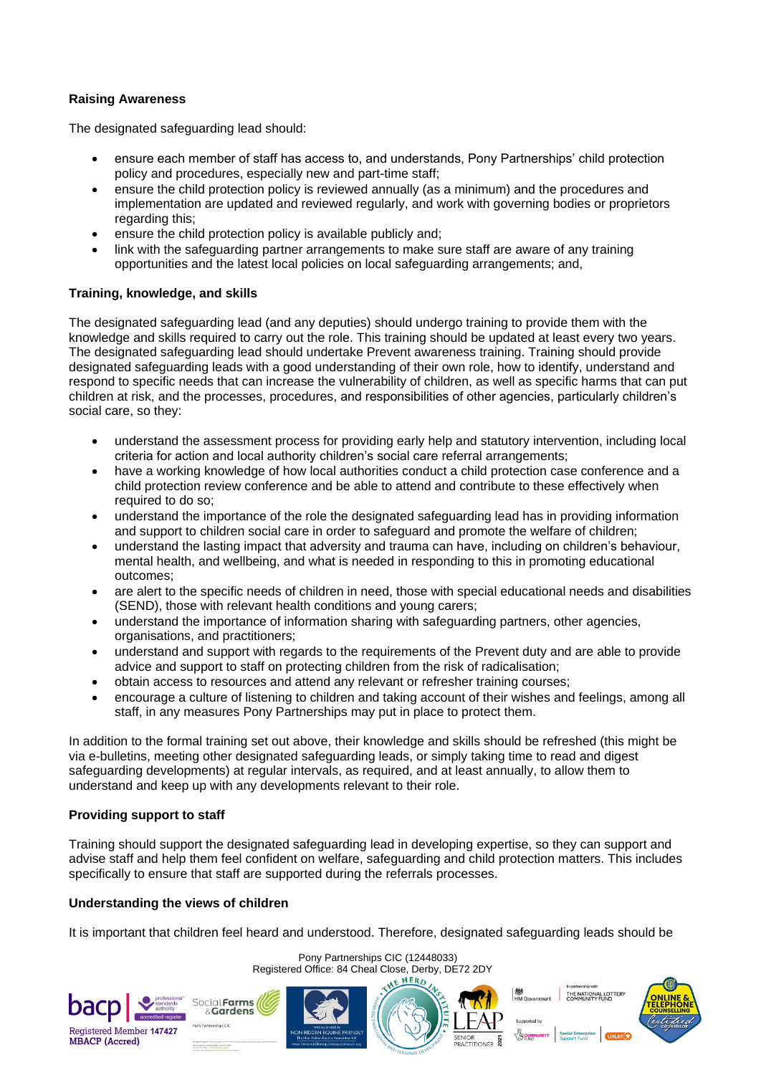# **Raising Awareness**

The designated safeguarding lead should:

- ensure each member of staff has access to, and understands, Pony Partnerships' child protection policy and procedures, especially new and part-time staff;
- ensure the child protection policy is reviewed annually (as a minimum) and the procedures and implementation are updated and reviewed regularly, and work with governing bodies or proprietors regarding this;
- ensure the child protection policy is available publicly and;
- link with the safeguarding partner arrangements to make sure staff are aware of any training opportunities and the latest local policies on local safeguarding arrangements; and,

## **Training, knowledge, and skills**

The designated safeguarding lead (and any deputies) should undergo training to provide them with the knowledge and skills required to carry out the role. This training should be updated at least every two years. The designated safeguarding lead should undertake Prevent awareness training. Training should provide designated safeguarding leads with a good understanding of their own role, how to identify, understand and respond to specific needs that can increase the vulnerability of children, as well as specific harms that can put children at risk, and the processes, procedures, and responsibilities of other agencies, particularly children's social care, so they:

- understand the assessment process for providing early help and statutory intervention, including local criteria for action and local authority children's social care referral arrangements;
- have a working knowledge of how local authorities conduct a child protection case conference and a child protection review conference and be able to attend and contribute to these effectively when required to do so;
- understand the importance of the role the designated safeguarding lead has in providing information and support to children social care in order to safeguard and promote the welfare of children;
- understand the lasting impact that adversity and trauma can have, including on children's behaviour, mental health, and wellbeing, and what is needed in responding to this in promoting educational outcomes;
- are alert to the specific needs of children in need, those with special educational needs and disabilities (SEND), those with relevant health conditions and young carers;
- understand the importance of information sharing with safeguarding partners, other agencies, organisations, and practitioners;
- understand and support with regards to the requirements of the Prevent duty and are able to provide advice and support to staff on protecting children from the risk of radicalisation;
- obtain access to resources and attend any relevant or refresher training courses;
- encourage a culture of listening to children and taking account of their wishes and feelings, among all staff, in any measures Pony Partnerships may put in place to protect them.

In addition to the formal training set out above, their knowledge and skills should be refreshed (this might be via e-bulletins, meeting other designated safeguarding leads, or simply taking time to read and digest safeguarding developments) at regular intervals, as required, and at least annually, to allow them to understand and keep up with any developments relevant to their role.

## **Providing support to staff**

Daco

Registered Member 147427 **MBACP** (Accred)

Training should support the designated safeguarding lead in developing expertise, so they can support and advise staff and help them feel confident on welfare, safeguarding and child protection matters. This includes specifically to ensure that staff are supported during the referrals processes.

## **Understanding the views of children**

It is important that children feel heard and understood. Therefore, designated safeguarding leads should be

Pony Partnerships CIC (12448033)

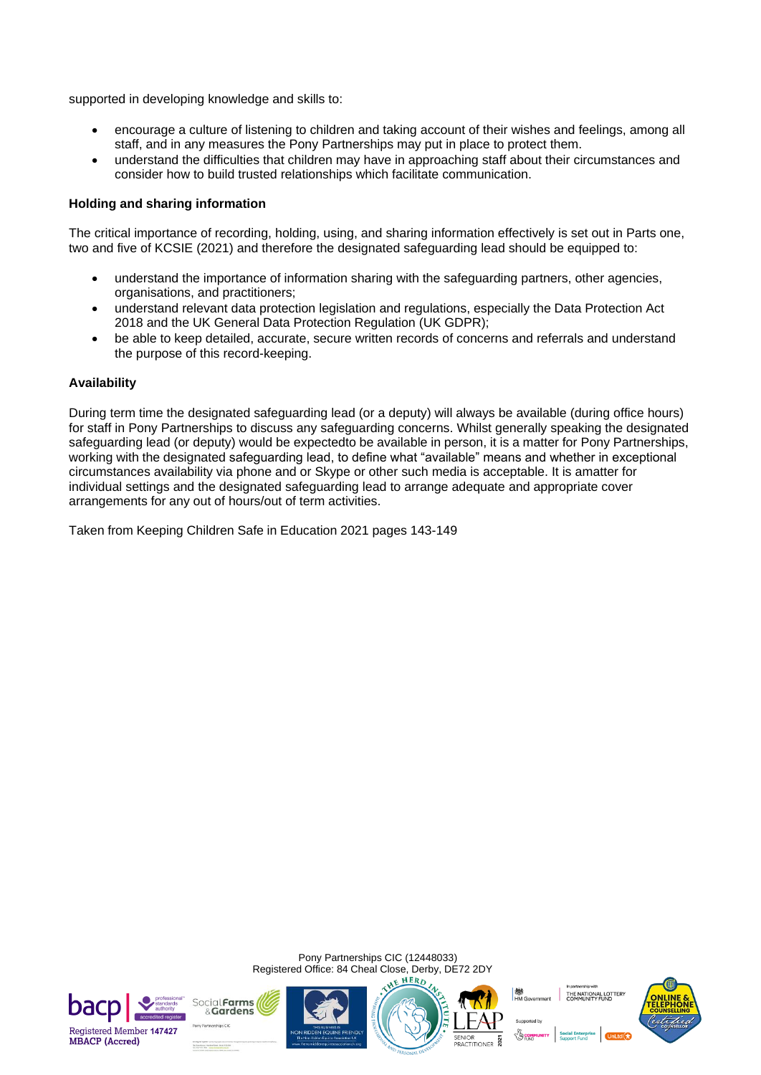supported in developing knowledge and skills to:

- encourage a culture of listening to children and taking account of their wishes and feelings, among all staff, and in any measures the Pony Partnerships may put in place to protect them.
- understand the difficulties that children may have in approaching staff about their circumstances and consider how to build trusted relationships which facilitate communication.

#### **Holding and sharing information**

The critical importance of recording, holding, using, and sharing information effectively is set out in Parts one, two and five of KCSIE (2021) and therefore the designated safeguarding lead should be equipped to:

- understand the importance of information sharing with the safeguarding partners, other agencies, organisations, and practitioners;
- understand relevant data protection legislation and regulations, especially the Data Protection Act 2018 and the UK General Data Protection Regulation (UK GDPR);
- be able to keep detailed, accurate, secure written records of concerns and referrals and understand the purpose of this record-keeping.

#### **Availability**

During term time the designated safeguarding lead (or a deputy) will always be available (during office hours) for staff in Pony Partnerships to discuss any safeguarding concerns. Whilst generally speaking the designated safeguarding lead (or deputy) would be expectedto be available in person, it is a matter for Pony Partnerships, working with the designated safeguarding lead, to define what "available" means and whether in exceptional circumstances availability via phone and or Skype or other such media is acceptable. It is amatter for individual settings and the designated safeguarding lead to arrange adequate and appropriate cover arrangements for any out of hours/out of term activities.

Taken from Keeping Children Safe in Education 2021 pages 143-149

Dacc Registered Member 147427 **MBACP** (Accred)









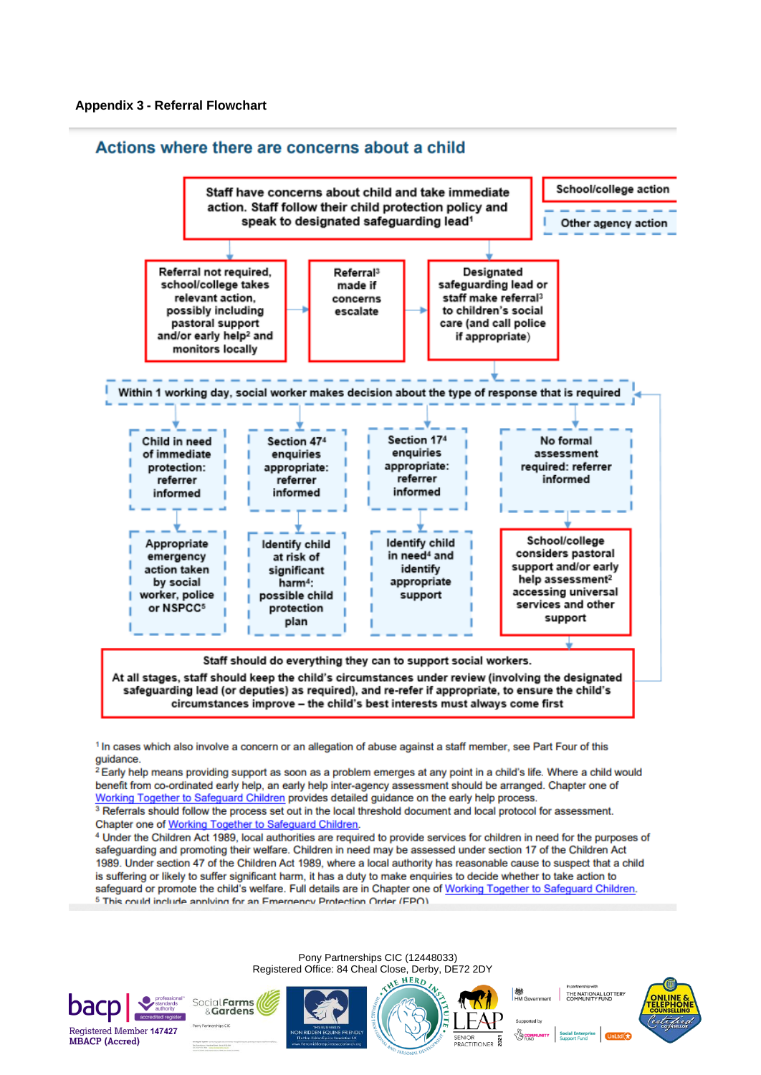

 $^{\rm 2}$ Early help means providing support as soon as a problem emerges at any point in a child's life. Where a child would benefit from co-ordinated early help, an early help inter-agency assessment should be arranged. Chapter one of Working Together to Safeguard Children provides detailed guidance on the early help process.

<sup>3</sup> Referrals should follow the process set out in the local threshold document and local protocol for assessment. Chapter one of Working Together to Safeguard Children.

4 Under the Children Act 1989, local authorities are required to provide services for children in need for the purposes of safeguarding and promoting their welfare. Children in need may be assessed under section 17 of the Children Act 1989. Under section 47 of the Children Act 1989, where a local authority has reasonable cause to suspect that a child is suffering or likely to suffer significant harm, it has a duty to make enquiries to decide whether to take action to safeguard or promote the child's welfare. Full details are in Chapter one of Working Together to Safeguard Children. <sup>5</sup> This could include anniving for an Emergency Protection Order (EPO)







हैं<br>// Government COMMUNITY FUND

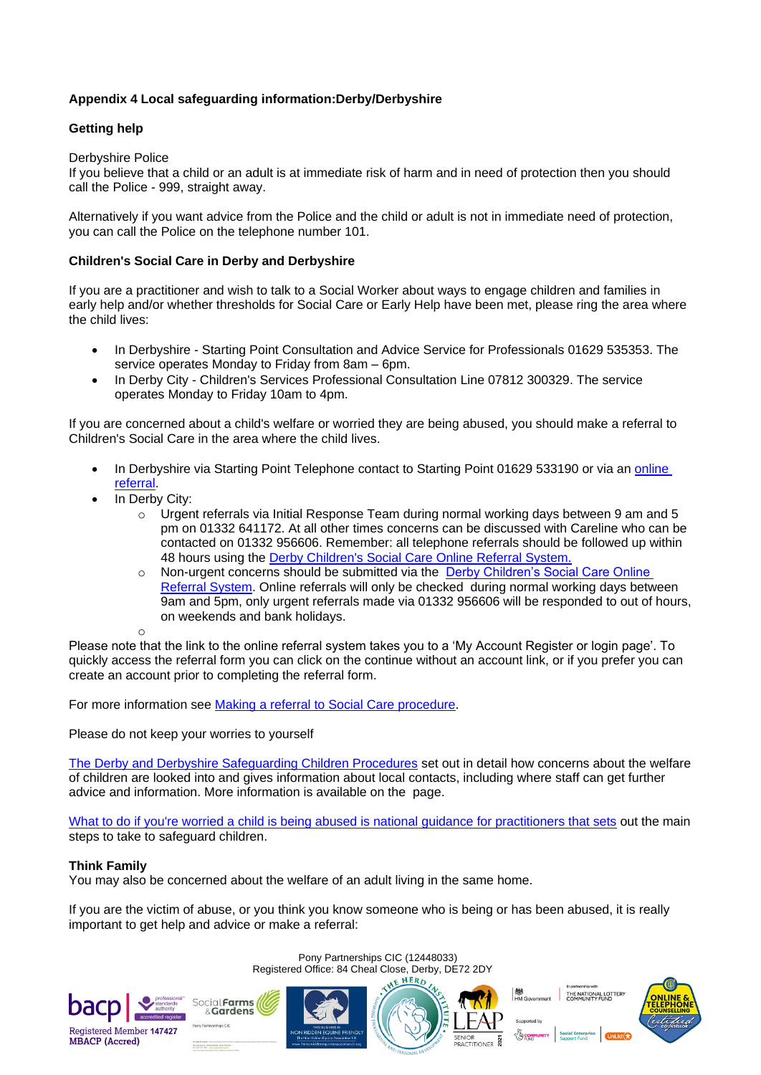# **Appendix 4 Local safeguarding information:Derby/Derbyshire**

## **Getting help**

#### Derbyshire Police

If you believe that a child or an adult is at immediate risk of harm and in need of protection then you should call the Police - 999, straight away.

Alternatively if you want advice from the Police and the child or adult is not in immediate need of protection, you can call the Police on the telephone number 101.

#### **Children's Social Care in Derby and Derbyshire**

If you are a practitioner and wish to talk to a Social Worker about ways to engage children and families in early help and/or whether thresholds for Social Care or Early Help have been met, please ring the area where the child lives:

- In Derbyshire Starting Point Consultation and Advice Service for Professionals 01629 535353. The service operates Monday to Friday from 8am – 6pm.
- In Derby City Children's Services Professional Consultation Line 07812 300329. The service operates Monday to Friday 10am to 4pm.

If you are concerned about a child's welfare or worried they are being abused, you should make a referral to Children's Social Care in the area where the child lives.

- In Derbyshire via Starting Point Telephone contact to Starting Point 01629 533190 or via an online [referral.](https://www.derbyshire.gov.uk/social-health/children-and-families/support-for-families/starting-point-referral-form/starting-point-request-for-support-form.aspx)
- In Derby City:

o

- $\circ$  Urgent referrals via Initial Response Team during normal working days between 9 am and 5 pm on 01332 641172. At all other times concerns can be discussed with Careline who can be contacted on 01332 956606. Remember: all telephone referrals should be followed up within 48 hours using the [Derby Children's Social Care Online Referral System.](https://myaccount.derby.gov.uk/en/service/report_concerns_about_a_child)
- o Non-urgent concerns should be submitted via the [Derby Children's Social Care Online](https://myaccount.derby.gov.uk/en/service/report_concerns_about_a_child)  [Referral System.](https://myaccount.derby.gov.uk/en/service/report_concerns_about_a_child) Online referrals will only be checked during normal working days between 9am and 5pm, only urgent referrals made via 01332 956606 will be responded to out of hours, on weekends and bank holidays.

Please note that the link to the online referral system takes you to a 'My Account Register or login page'. To quickly access the referral form you can click on the continue without an account link, or if you prefer you can create an account prior to completing the referral form.

For more information see [Making a referral to Social Care procedure.](https://myaccount.derby.gov.uk/en/service/report_concerns_about_a_child)

Please do not keep your worries to yourself

[The Derby and Derbyshire Safeguarding Children Procedures](http://derbyshirescbs.proceduresonline.com/index.htm) set out in detail how concerns about the welfare of children are looked into and gives information about local contacts, including where staff can get further advice and information. More information is available on the page.

[What to do if you're worried a child is being abused is national guidance for practitioners that sets](https://www.ddscp.org.uk/media/derby-scb/content-assets/documents/procedures/guidance-docs/What_to_do_if_you_re_worried_a_child_is_being_abused.pdf) out the main steps to take to safeguard children.

## **Think Family**

You may also be concerned about the welfare of an adult living in the same home.

If you are the victim of abuse, or you think you know someone who is being or has been abused, it is really important to get help and advice or make a referral:

Pony Partnerships CIC (12448033)

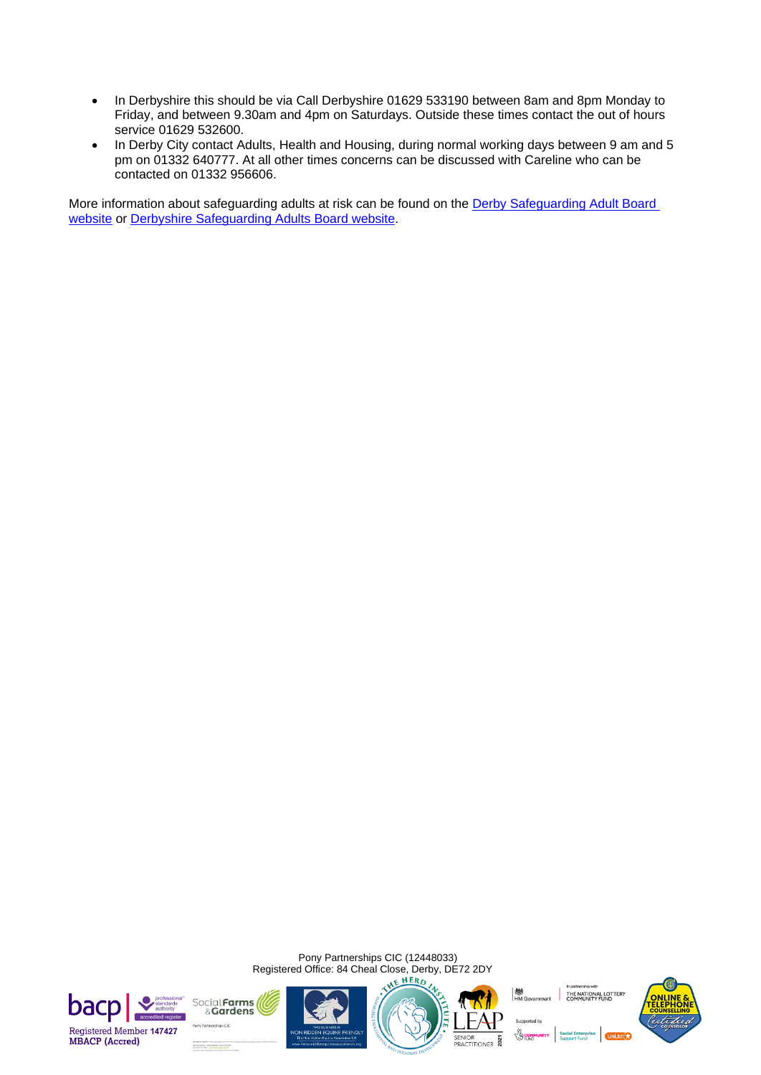- In Derbyshire this should be via Call Derbyshire 01629 533190 between 8am and 8pm Monday to Friday, and between 9.30am and 4pm on Saturdays. Outside these times contact the out of hours service 01629 532600.
- In Derby City contact Adults, Health and Housing, during normal working days between 9 am and 5 pm on 01332 640777. At all other times concerns can be discussed with Careline who can be contacted on 01332 956606.

More information about safeguarding adults at risk can be found on the Derby Safeguarding Adult Board [website](http://www.derbysab.org.uk/) or [Derbyshire Safeguarding Adults Board website.](https://www.derbyshiresab.org.uk/home.aspx)











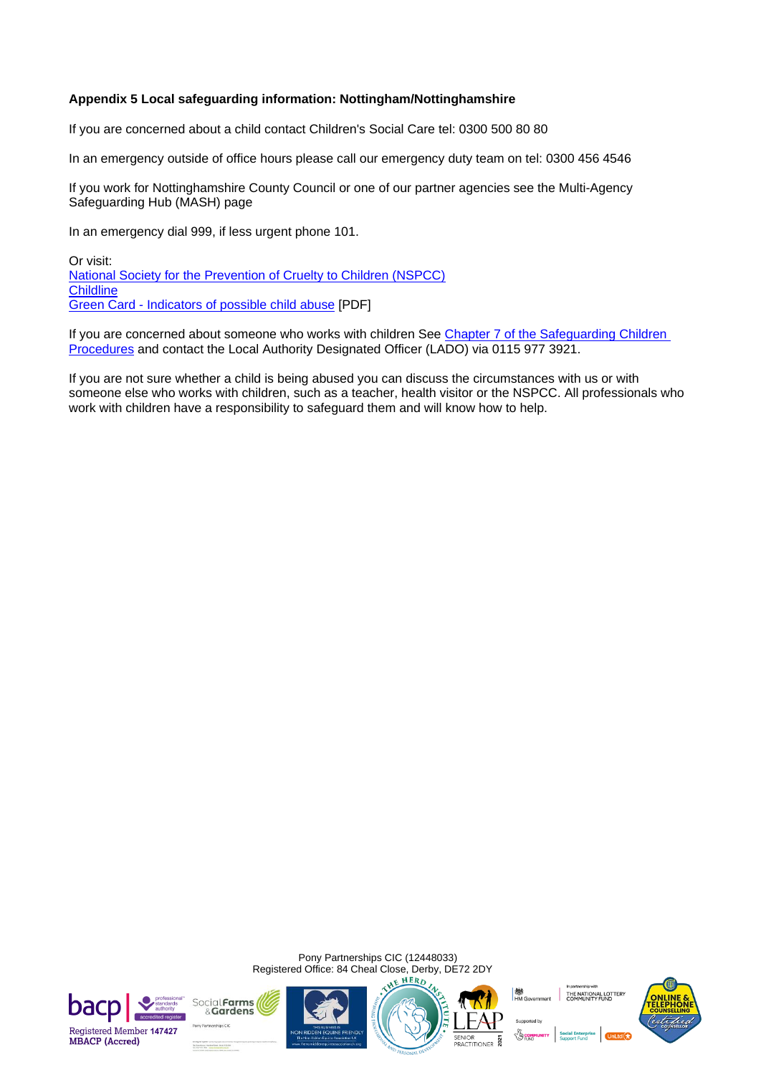## **Appendix 5 Local safeguarding information: Nottingham/Nottinghamshire**

If you are concerned about a child contact Children's Social Care tel: 0300 500 80 80

In an emergency outside of office hours please call our emergency duty team on tel: 0300 456 4546

If you work for Nottinghamshire County Council or one of our partner agencies see the Multi-Agency Safeguarding Hub (MASH) page

In an emergency dial 999, if less urgent phone 101.

Or visit: [National Society for the Prevention of Cruelty to Children \(NSPCC\)](https://www.nspcc.org.uk/keeping-children-safe/reporting-abuse/) **[Childline](http://www.childline.org.uk/Talk/Pages/ContactingChildLine.aspx)** Green Card - [Indicators of possible child abuse](https://nscp.nottinghamshire.gov.uk/media/41zevvb3/green-card-indicators-of-possible-child-abuse.pdf?alId=425588) [PDF]

If you are concerned about someone who works with children See Chapter 7 of the Safeguarding Children [Procedures](https://nscp.nottinghamshire.gov.uk/media/41zevvb3/green-card-indicators-of-possible-child-abuse.pdf?alId=425588) and contact the Local Authority Designated Officer (LADO) via 0115 977 3921.

If you are not sure whether a child is being abused you can discuss the circumstances with us or with someone else who works with children, such as a teacher, health visitor or the NSPCC. All professionals who work with children have a responsibility to safeguard them and will know how to help.

> al Farms & Gardens

Dacl

Registered Member 147427<br>MBACP (Accred)





Pony Partnerships CIC (12448033)

THE NATIONAL LOTTERY